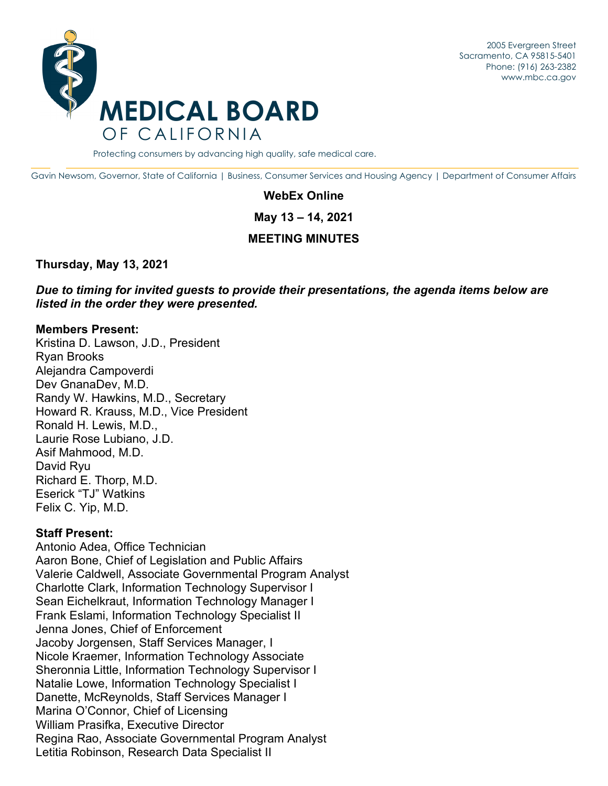2005 Evergreen Street Sacramento, CA 95815-5401 Phone: (916) 263-2382 [www.mbc.ca.go](www.mbc.ca.gov)[v](http://www.mbc.ca.gov/) 



Protecting consumers by advancing high quality, safe medical care.

Gavin Newsom, Governor, State of California | Business, Consumer Services and Housing Agency | Department of Consumer Affairs

#### **WebEx Online**

**May 13 – 14, 2021** 

#### **MEETING MINUTES**

**Thursday, May 13, 2021** 

*Due to timing for invited guests to provide their presentations, the agenda items below are listed in the order they were presented.* 

#### **Members Present:**

Kristina D. Lawson, J.D., President Ryan Brooks Alejandra Campoverdi Dev GnanaDev, M.D. Randy W. Hawkins, M.D., Secretary Howard R. Krauss, M.D., Vice President Ronald H. Lewis, M.D., Laurie Rose Lubiano, J.D. Asif Mahmood, M.D. David Ryu Richard E. Thorp, M.D. Eserick "TJ" Watkins Felix C. Yip, M.D.

#### **Staff Present:**

Antonio Adea, Office Technician Aaron Bone, Chief of Legislation and Public Affairs Valerie Caldwell, Associate Governmental Program Analyst Charlotte Clark, Information Technology Supervisor I Sean Eichelkraut, Information Technology Manager I Frank Eslami, Information Technology Specialist II Jenna Jones, Chief of Enforcement Jacoby Jorgensen, Staff Services Manager, I Nicole Kraemer, Information Technology Associate Sheronnia Little, Information Technology Supervisor I Natalie Lowe, Information Technology Specialist I Danette, McReynolds, Staff Services Manager I Marina O'Connor, Chief of Licensing William Prasifka, Executive Director Regina Rao, Associate Governmental Program Analyst Letitia Robinson, Research Data Specialist II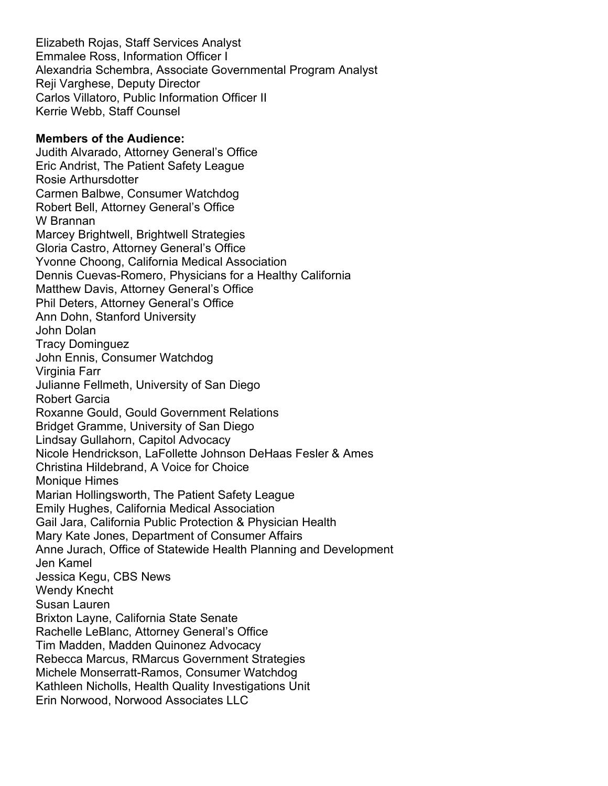Elizabeth Rojas, Staff Services Analyst Emmalee Ross, Information Officer I Alexandria Schembra, Associate Governmental Program Analyst Reji Varghese, Deputy Director Carlos Villatoro, Public Information Officer II Kerrie Webb, Staff Counsel

#### **Members of the Audience:**

Judith Alvarado, Attorney General's Office Eric Andrist, The Patient Safety League Rosie Arthursdotter Carmen Balbwe, Consumer Watchdog Robert Bell, Attorney General's Office W Brannan Marcey Brightwell, Brightwell Strategies Gloria Castro, Attorney General's Office Yvonne Choong, California Medical Association Dennis Cuevas-Romero, Physicians for a Healthy California Matthew Davis, Attorney General's Office Phil Deters, Attorney General's Office Ann Dohn, Stanford University John Dolan Tracy Dominguez John Ennis, Consumer Watchdog Virginia Farr Julianne Fellmeth, University of San Diego Robert Garcia Roxanne Gould, Gould Government Relations Bridget Gramme, University of San Diego Lindsay Gullahorn, Capitol Advocacy Nicole Hendrickson, LaFollette Johnson DeHaas Fesler & Ames Christina Hildebrand, A Voice for Choice Monique Himes Marian Hollingsworth, The Patient Safety League Emily Hughes, California Medical Association Gail Jara, California Public Protection & Physician Health Mary Kate Jones, Department of Consumer Affairs Anne Jurach, Office of Statewide Health Planning and Development Jen Kamel Jessica Kegu, CBS News Wendy Knecht Susan Lauren Brixton Layne, California State Senate Rachelle LeBlanc, Attorney General's Office Tim Madden, Madden Quinonez Advocacy Rebecca Marcus, RMarcus Government Strategies Michele Monserratt-Ramos, Consumer Watchdog Kathleen Nicholls, Health Quality Investigations Unit Erin Norwood, Norwood Associates LLC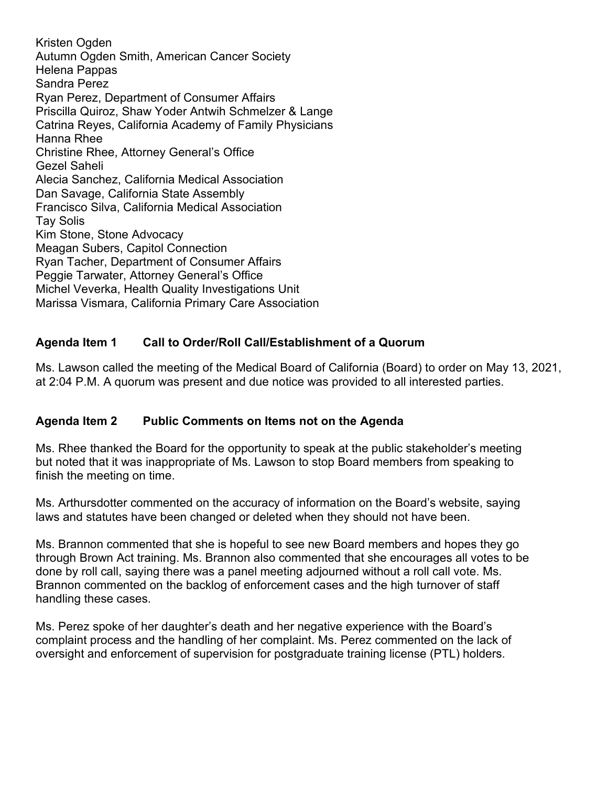Kristen Ogden Autumn Ogden Smith, American Cancer Society Helena Pappas Sandra Perez Ryan Perez, Department of Consumer Affairs Priscilla Quiroz, Shaw Yoder Antwih Schmelzer & Lange Catrina Reyes, California Academy of Family Physicians Hanna Rhee Christine Rhee, Attorney General's Office Gezel Saheli Alecia Sanchez, California Medical Association Dan Savage, California State Assembly Francisco Silva, California Medical Association Tay Solis Kim Stone, Stone Advocacy Meagan Subers, Capitol Connection Ryan Tacher, Department of Consumer Affairs Peggie Tarwater, Attorney General's Office Michel Veverka, Health Quality Investigations Unit Marissa Vismara, California Primary Care Association

# **Agenda Item 1 Call to Order/Roll Call/Establishment of a Quorum**

Ms. Lawson called the meeting of the Medical Board of California (Board) to order on May 13, 2021, at 2:04 P.M. A quorum was present and due notice was provided to all interested parties.

#### **Agenda Item 2 Public Comments on Items not on the Agenda**

Ms. Rhee thanked the Board for the opportunity to speak at the public stakeholder's meeting but noted that it was inappropriate of Ms. Lawson to stop Board members from speaking to finish the meeting on time.

Ms. Arthursdotter commented on the accuracy of information on the Board's website, saying laws and statutes have been changed or deleted when they should not have been.

Ms. Brannon commented that she is hopeful to see new Board members and hopes they go through Brown Act training. Ms. Brannon also commented that she encourages all votes to be done by roll call, saying there was a panel meeting adjourned without a roll call vote. Ms. Brannon commented on the backlog of enforcement cases and the high turnover of staff handling these cases.

Ms. Perez spoke of her daughter's death and her negative experience with the Board's complaint process and the handling of her complaint. Ms. Perez commented on the lack of oversight and enforcement of supervision for postgraduate training license (PTL) holders.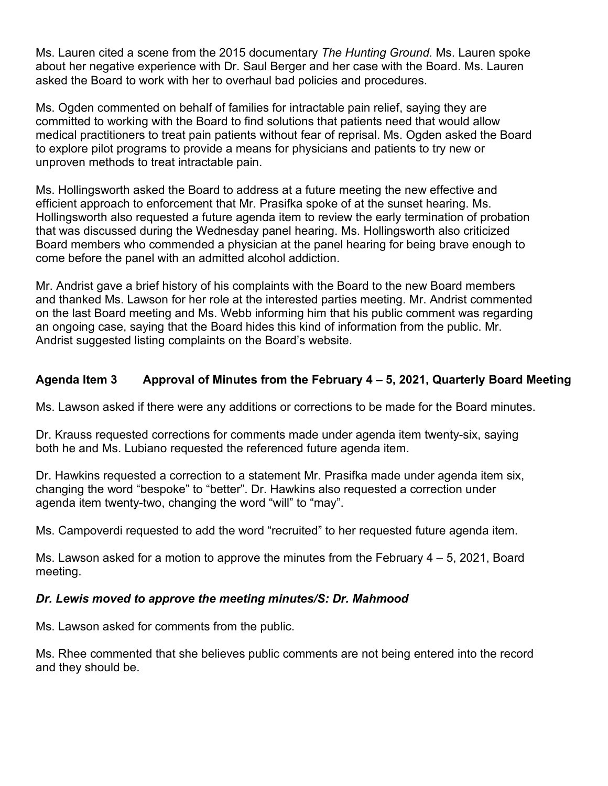Ms. Lauren cited a scene from the 2015 documentary *The Hunting Ground.* Ms. Lauren spoke about her negative experience with Dr. Saul Berger and her case with the Board. Ms. Lauren asked the Board to work with her to overhaul bad policies and procedures.

Ms. Ogden commented on behalf of families for intractable pain relief, saying they are committed to working with the Board to find solutions that patients need that would allow medical practitioners to treat pain patients without fear of reprisal. Ms. Ogden asked the Board to explore pilot programs to provide a means for physicians and patients to try new or unproven methods to treat intractable pain.

Ms. Hollingsworth asked the Board to address at a future meeting the new effective and efficient approach to enforcement that Mr. Prasifka spoke of at the sunset hearing. Ms. Hollingsworth also requested a future agenda item to review the early termination of probation that was discussed during the Wednesday panel hearing. Ms. Hollingsworth also criticized Board members who commended a physician at the panel hearing for being brave enough to come before the panel with an admitted alcohol addiction.

Mr. Andrist gave a brief history of his complaints with the Board to the new Board members and thanked Ms. Lawson for her role at the interested parties meeting. Mr. Andrist commented on the last Board meeting and Ms. Webb informing him that his public comment was regarding an ongoing case, saying that the Board hides this kind of information from the public. Mr. Andrist suggested listing complaints on the Board's website.

# **Agenda Item 3 Approval of Minutes from the February 4 – 5, 2021, Quarterly Board Meeting**

Ms. Lawson asked if there were any additions or corrections to be made for the Board minutes.

Dr. Krauss requested corrections for comments made under agenda item twenty-six, saying both he and Ms. Lubiano requested the referenced future agenda item.

Dr. Hawkins requested a correction to a statement Mr. Prasifka made under agenda item six, changing the word "bespoke" to "better". Dr. Hawkins also requested a correction under agenda item twenty-two, changing the word "will" to "may".

Ms. Campoverdi requested to add the word "recruited" to her requested future agenda item.

Ms. Lawson asked for a motion to approve the minutes from the February  $4-5$ , 2021, Board meeting.

# *Dr. Lewis moved to approve the meeting minutes/S: Dr. Mahmood*

Ms. Lawson asked for comments from the public.

Ms. Rhee commented that she believes public comments are not being entered into the record and they should be.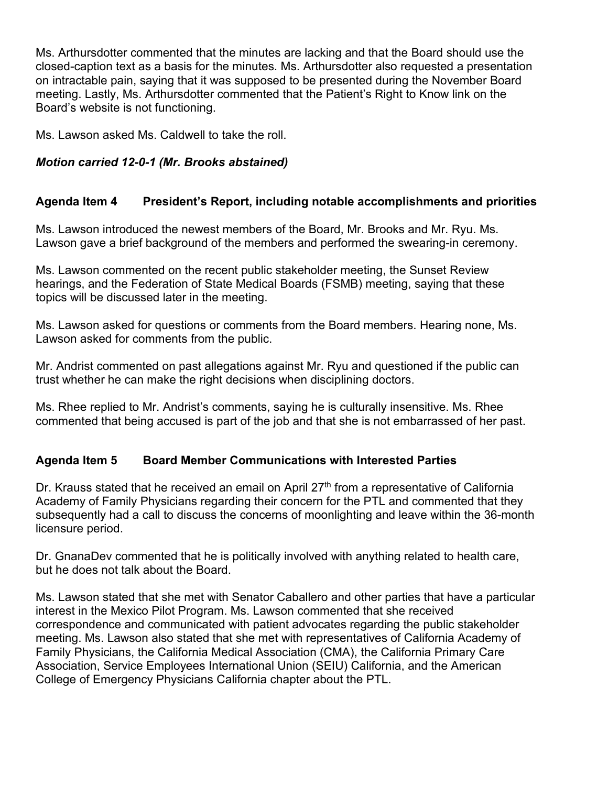Ms. Arthursdotter commented that the minutes are lacking and that the Board should use the closed-caption text as a basis for the minutes. Ms. Arthursdotter also requested a presentation on intractable pain, saying that it was supposed to be presented during the November Board meeting. Lastly, Ms. Arthursdotter commented that the Patient's Right to Know link on the Board's website is not functioning.

Ms. Lawson asked Ms. Caldwell to take the roll.

# *Motion carried 12-0-1 (Mr. Brooks abstained)*

# **Agenda Item 4 President's Report, including notable accomplishments and priorities**

Ms. Lawson introduced the newest members of the Board, Mr. Brooks and Mr. Ryu. Ms. Lawson gave a brief background of the members and performed the swearing-in ceremony.

Ms. Lawson commented on the recent public stakeholder meeting, the Sunset Review hearings, and the Federation of State Medical Boards (FSMB) meeting, saying that these topics will be discussed later in the meeting.

Ms. Lawson asked for questions or comments from the Board members. Hearing none, Ms. Lawson asked for comments from the public.

Mr. Andrist commented on past allegations against Mr. Ryu and questioned if the public can trust whether he can make the right decisions when disciplining doctors.

Ms. Rhee replied to Mr. Andrist's comments, saying he is culturally insensitive. Ms. Rhee commented that being accused is part of the job and that she is not embarrassed of her past.

#### **Agenda Item 5 Board Member Communications with Interested Parties**

Dr. Krauss stated that he received an email on April  $27<sup>th</sup>$  from a representative of California Academy of Family Physicians regarding their concern for the PTL and commented that they subsequently had a call to discuss the concerns of moonlighting and leave within the 36-month licensure period.

Dr. GnanaDev commented that he is politically involved with anything related to health care, but he does not talk about the Board.

Ms. Lawson stated that she met with Senator Caballero and other parties that have a particular interest in the Mexico Pilot Program. Ms. Lawson commented that she received correspondence and communicated with patient advocates regarding the public stakeholder meeting. Ms. Lawson also stated that she met with representatives of California Academy of Family Physicians, the California Medical Association (CMA), the California Primary Care Association, Service Employees International Union (SEIU) California, and the American College of Emergency Physicians California chapter about the PTL.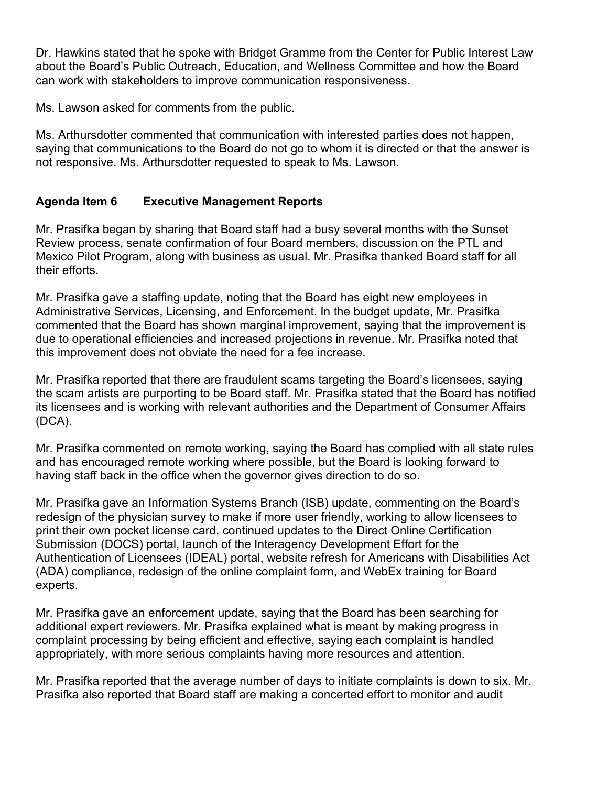Dr. Hawkins stated that he spoke with Bridget Gramme from the Center for Public Interest Law about the Board's Public Outreach, Education, and Wellness Committee and how the Board can work with stakeholders to improve communication responsiveness.

Ms. Lawson asked for comments from the public.

Ms. Arthursdotter commented that communication with interested parties does not happen, saying that communications to the Board do not go to whom it is directed or that the answer is not responsive. Ms. Arthursdotter requested to speak to Ms. Lawson.

# **Agenda Item 6 Executive Management Reports**

Mr. Prasifka began by sharing that Board staff had a busy several months with the Sunset Review process, senate confirmation of four Board members, discussion on the PTL and Mexico Pilot Program, along with business as usual. Mr. Prasifka thanked Board staff for all their efforts.

Mr. Prasifka gave a staffing update, noting that the Board has eight new employees in Administrative Services, Licensing, and Enforcement. In the budget update, Mr. Prasifka commented that the Board has shown marginal improvement, saying that the improvement is due to operational efficiencies and increased projections in revenue. Mr. Prasifka noted that this improvement does not obviate the need for a fee increase.

Mr. Prasifka reported that there are fraudulent scams targeting the Board's licensees, saying the scam artists are purporting to be Board staff. Mr. Prasifka stated that the Board has notified its licensees and is working with relevant authorities and the Department of Consumer Affairs (DCA).

Mr. Prasifka commented on remote working, saying the Board has complied with all state rules and has encouraged remote working where possible, but the Board is looking forward to having staff back in the office when the governor gives direction to do so.

Mr. Prasifka gave an Information Systems Branch (ISB) update, commenting on the Board's redesign of the physician survey to make if more user friendly, working to allow licensees to print their own pocket license card, continued updates to the Direct Online Certification Submission (DOCS) portal, launch of the Interagency Development Effort for the Authentication of Licensees (IDEAL) portal, website refresh for Americans with Disabilities Act (ADA) compliance, redesign of the online complaint form, and WebEx training for Board experts.

Mr. Prasifka gave an enforcement update, saying that the Board has been searching for additional expert reviewers. Mr. Prasifka explained what is meant by making progress in complaint processing by being efficient and effective, saying each complaint is handled appropriately, with more serious complaints having more resources and attention.

Mr. Prasifka reported that the average number of days to initiate complaints is down to six. Mr. Prasifka also reported that Board staff are making a concerted effort to monitor and audit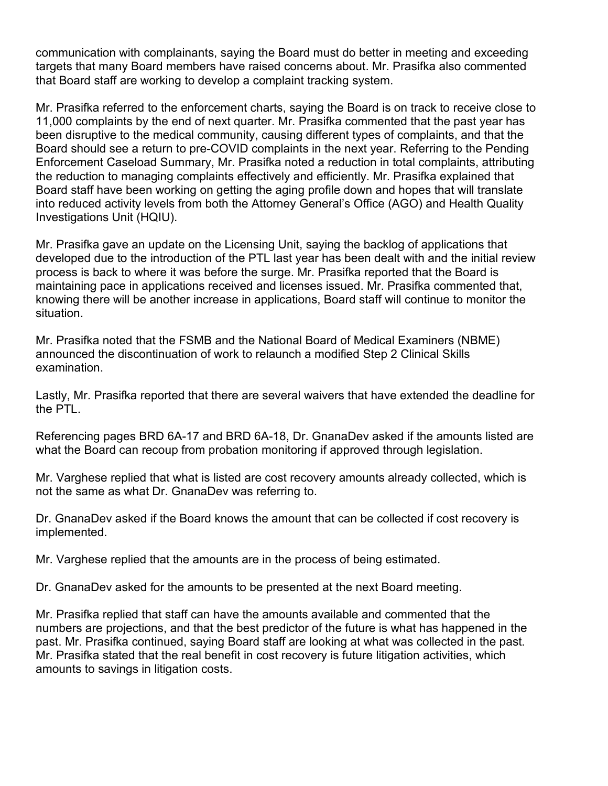communication with complainants, saying the Board must do better in meeting and exceeding targets that many Board members have raised concerns about. Mr. Prasifka also commented that Board staff are working to develop a complaint tracking system.

Mr. Prasifka referred to the enforcement charts, saying the Board is on track to receive close to 11,000 complaints by the end of next quarter. Mr. Prasifka commented that the past year has been disruptive to the medical community, causing different types of complaints, and that the Board should see a return to pre-COVID complaints in the next year. Referring to the Pending Enforcement Caseload Summary, Mr. Prasifka noted a reduction in total complaints, attributing the reduction to managing complaints effectively and efficiently. Mr. Prasifka explained that Board staff have been working on getting the aging profile down and hopes that will translate into reduced activity levels from both the Attorney General's Office (AGO) and Health Quality Investigations Unit (HQIU).

Mr. Prasifka gave an update on the Licensing Unit, saying the backlog of applications that developed due to the introduction of the PTL last year has been dealt with and the initial review process is back to where it was before the surge. Mr. Prasifka reported that the Board is maintaining pace in applications received and licenses issued. Mr. Prasifka commented that, knowing there will be another increase in applications, Board staff will continue to monitor the situation.

Mr. Prasifka noted that the FSMB and the National Board of Medical Examiners (NBME) announced the discontinuation of work to relaunch a modified Step 2 Clinical Skills examination.

Lastly, Mr. Prasifka reported that there are several waivers that have extended the deadline for the PTL.

Referencing pages BRD 6A-17 and BRD 6A-18, Dr. GnanaDev asked if the amounts listed are what the Board can recoup from probation monitoring if approved through legislation.

Mr. Varghese replied that what is listed are cost recovery amounts already collected, which is not the same as what Dr. GnanaDev was referring to.

Dr. GnanaDev asked if the Board knows the amount that can be collected if cost recovery is implemented.

Mr. Varghese replied that the amounts are in the process of being estimated.

Dr. GnanaDev asked for the amounts to be presented at the next Board meeting.

Mr. Prasifka replied that staff can have the amounts available and commented that the numbers are projections, and that the best predictor of the future is what has happened in the past. Mr. Prasifka continued, saying Board staff are looking at what was collected in the past. Mr. Prasifka stated that the real benefit in cost recovery is future litigation activities, which amounts to savings in litigation costs.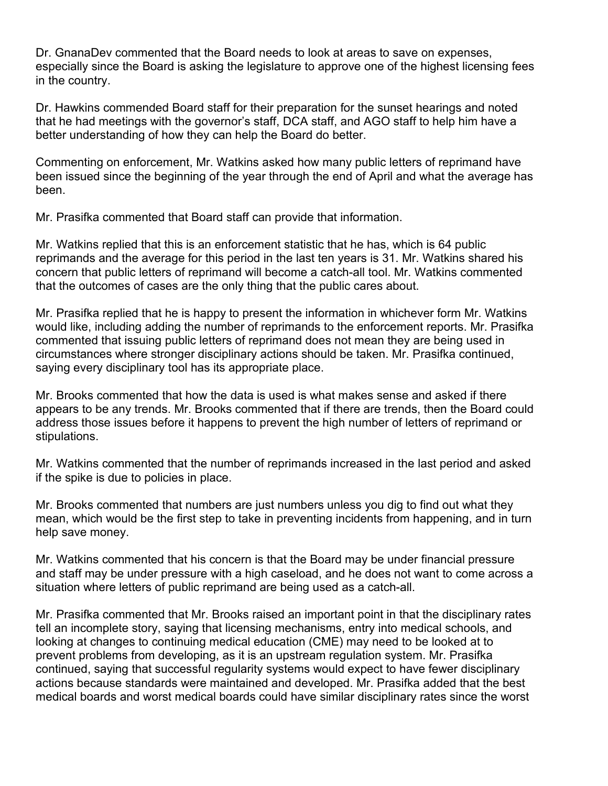Dr. GnanaDev commented that the Board needs to look at areas to save on expenses, especially since the Board is asking the legislature to approve one of the highest licensing fees in the country.

Dr. Hawkins commended Board staff for their preparation for the sunset hearings and noted that he had meetings with the governor's staff, DCA staff, and AGO staff to help him have a better understanding of how they can help the Board do better.

Commenting on enforcement, Mr. Watkins asked how many public letters of reprimand have been issued since the beginning of the year through the end of April and what the average has been.

Mr. Prasifka commented that Board staff can provide that information.

Mr. Watkins replied that this is an enforcement statistic that he has, which is 64 public reprimands and the average for this period in the last ten years is 31. Mr. Watkins shared his concern that public letters of reprimand will become a catch-all tool. Mr. Watkins commented that the outcomes of cases are the only thing that the public cares about.

Mr. Prasifka replied that he is happy to present the information in whichever form Mr. Watkins would like, including adding the number of reprimands to the enforcement reports. Mr. Prasifka commented that issuing public letters of reprimand does not mean they are being used in circumstances where stronger disciplinary actions should be taken. Mr. Prasifka continued, saying every disciplinary tool has its appropriate place.

Mr. Brooks commented that how the data is used is what makes sense and asked if there appears to be any trends. Mr. Brooks commented that if there are trends, then the Board could address those issues before it happens to prevent the high number of letters of reprimand or stipulations.

Mr. Watkins commented that the number of reprimands increased in the last period and asked if the spike is due to policies in place.

Mr. Brooks commented that numbers are just numbers unless you dig to find out what they mean, which would be the first step to take in preventing incidents from happening, and in turn help save money.

Mr. Watkins commented that his concern is that the Board may be under financial pressure and staff may be under pressure with a high caseload, and he does not want to come across a situation where letters of public reprimand are being used as a catch-all.

Mr. Prasifka commented that Mr. Brooks raised an important point in that the disciplinary rates tell an incomplete story, saying that licensing mechanisms, entry into medical schools, and looking at changes to continuing medical education (CME) may need to be looked at to prevent problems from developing, as it is an upstream regulation system. Mr. Prasifka continued, saying that successful regularity systems would expect to have fewer disciplinary actions because standards were maintained and developed. Mr. Prasifka added that the best medical boards and worst medical boards could have similar disciplinary rates since the worst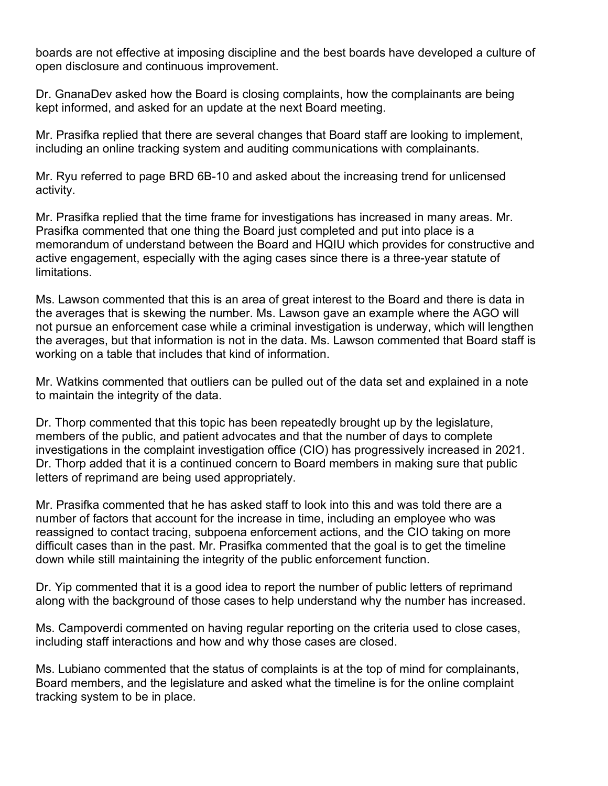boards are not effective at imposing discipline and the best boards have developed a culture of open disclosure and continuous improvement.

Dr. GnanaDev asked how the Board is closing complaints, how the complainants are being kept informed, and asked for an update at the next Board meeting.

Mr. Prasifka replied that there are several changes that Board staff are looking to implement, including an online tracking system and auditing communications with complainants.

Mr. Ryu referred to page BRD 6B-10 and asked about the increasing trend for unlicensed activity.

Mr. Prasifka replied that the time frame for investigations has increased in many areas. Mr. Prasifka commented that one thing the Board just completed and put into place is a memorandum of understand between the Board and HQIU which provides for constructive and active engagement, especially with the aging cases since there is a three-year statute of limitations.

Ms. Lawson commented that this is an area of great interest to the Board and there is data in the averages that is skewing the number. Ms. Lawson gave an example where the AGO will not pursue an enforcement case while a criminal investigation is underway, which will lengthen the averages, but that information is not in the data. Ms. Lawson commented that Board staff is working on a table that includes that kind of information.

Mr. Watkins commented that outliers can be pulled out of the data set and explained in a note to maintain the integrity of the data.

Dr. Thorp commented that this topic has been repeatedly brought up by the legislature, members of the public, and patient advocates and that the number of days to complete investigations in the complaint investigation office (CIO) has progressively increased in 2021. Dr. Thorp added that it is a continued concern to Board members in making sure that public letters of reprimand are being used appropriately.

Mr. Prasifka commented that he has asked staff to look into this and was told there are a number of factors that account for the increase in time, including an employee who was reassigned to contact tracing, subpoena enforcement actions, and the CIO taking on more difficult cases than in the past. Mr. Prasifka commented that the goal is to get the timeline down while still maintaining the integrity of the public enforcement function.

Dr. Yip commented that it is a good idea to report the number of public letters of reprimand along with the background of those cases to help understand why the number has increased.

Ms. Campoverdi commented on having regular reporting on the criteria used to close cases, including staff interactions and how and why those cases are closed.

Ms. Lubiano commented that the status of complaints is at the top of mind for complainants, Board members, and the legislature and asked what the timeline is for the online complaint tracking system to be in place.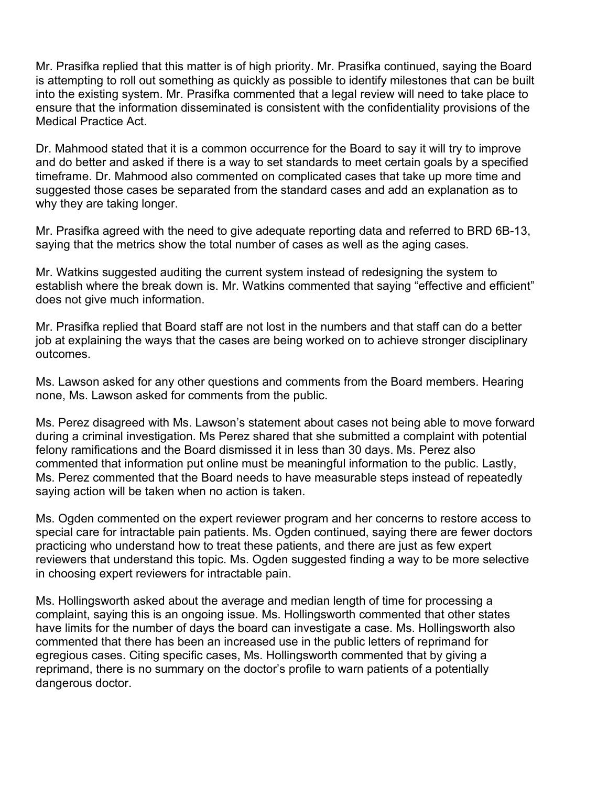Mr. Prasifka replied that this matter is of high priority. Mr. Prasifka continued, saying the Board is attempting to roll out something as quickly as possible to identify milestones that can be built into the existing system. Mr. Prasifka commented that a legal review will need to take place to ensure that the information disseminated is consistent with the confidentiality provisions of the Medical Practice Act.

Dr. Mahmood stated that it is a common occurrence for the Board to say it will try to improve and do better and asked if there is a way to set standards to meet certain goals by a specified timeframe. Dr. Mahmood also commented on complicated cases that take up more time and suggested those cases be separated from the standard cases and add an explanation as to why they are taking longer.

Mr. Prasifka agreed with the need to give adequate reporting data and referred to BRD 6B-13, saying that the metrics show the total number of cases as well as the aging cases.

Mr. Watkins suggested auditing the current system instead of redesigning the system to establish where the break down is. Mr. Watkins commented that saying "effective and efficient" does not give much information.

Mr. Prasifka replied that Board staff are not lost in the numbers and that staff can do a better job at explaining the ways that the cases are being worked on to achieve stronger disciplinary outcomes.

Ms. Lawson asked for any other questions and comments from the Board members. Hearing none, Ms. Lawson asked for comments from the public.

Ms. Perez disagreed with Ms. Lawson's statement about cases not being able to move forward during a criminal investigation. Ms Perez shared that she submitted a complaint with potential felony ramifications and the Board dismissed it in less than 30 days. Ms. Perez also commented that information put online must be meaningful information to the public. Lastly, Ms. Perez commented that the Board needs to have measurable steps instead of repeatedly saying action will be taken when no action is taken.

Ms. Ogden commented on the expert reviewer program and her concerns to restore access to special care for intractable pain patients. Ms. Ogden continued, saying there are fewer doctors practicing who understand how to treat these patients, and there are just as few expert reviewers that understand this topic. Ms. Ogden suggested finding a way to be more selective in choosing expert reviewers for intractable pain.

Ms. Hollingsworth asked about the average and median length of time for processing a complaint, saying this is an ongoing issue. Ms. Hollingsworth commented that other states have limits for the number of days the board can investigate a case. Ms. Hollingsworth also commented that there has been an increased use in the public letters of reprimand for egregious cases. Citing specific cases, Ms. Hollingsworth commented that by giving a reprimand, there is no summary on the doctor's profile to warn patients of a potentially dangerous doctor.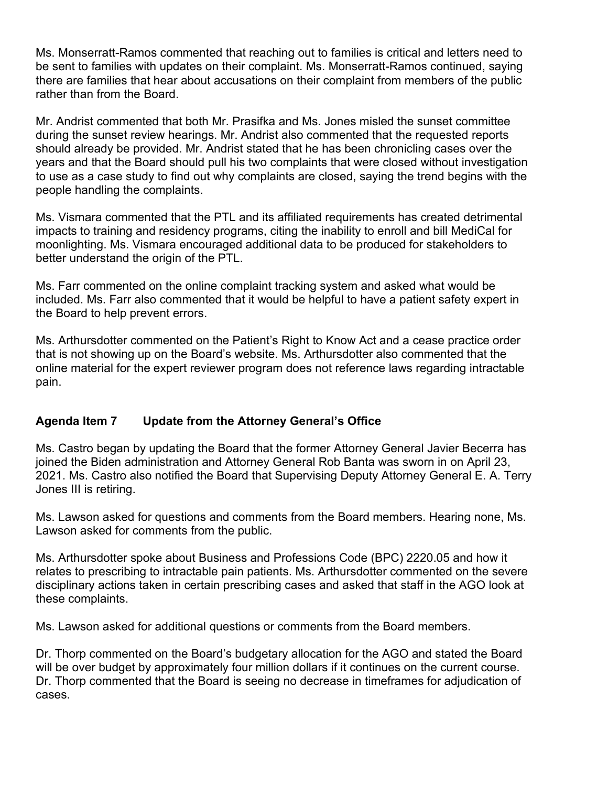Ms. Monserratt-Ramos commented that reaching out to families is critical and letters need to be sent to families with updates on their complaint. Ms. Monserratt-Ramos continued, saying there are families that hear about accusations on their complaint from members of the public rather than from the Board.

Mr. Andrist commented that both Mr. Prasifka and Ms. Jones misled the sunset committee during the sunset review hearings. Mr. Andrist also commented that the requested reports should already be provided. Mr. Andrist stated that he has been chronicling cases over the years and that the Board should pull his two complaints that were closed without investigation to use as a case study to find out why complaints are closed, saying the trend begins with the people handling the complaints.

Ms. Vismara commented that the PTL and its affiliated requirements has created detrimental impacts to training and residency programs, citing the inability to enroll and bill MediCal for moonlighting. Ms. Vismara encouraged additional data to be produced for stakeholders to better understand the origin of the PTL.

Ms. Farr commented on the online complaint tracking system and asked what would be included. Ms. Farr also commented that it would be helpful to have a patient safety expert in the Board to help prevent errors.

Ms. Arthursdotter commented on the Patient's Right to Know Act and a cease practice order that is not showing up on the Board's website. Ms. Arthursdotter also commented that the online material for the expert reviewer program does not reference laws regarding intractable pain.

# **Agenda Item 7 Update from the Attorney General's Office**

Ms. Castro began by updating the Board that the former Attorney General Javier Becerra has joined the Biden administration and Attorney General Rob Banta was sworn in on April 23, 2021. Ms. Castro also notified the Board that Supervising Deputy Attorney General E. A. Terry Jones III is retiring.

Ms. Lawson asked for questions and comments from the Board members. Hearing none, Ms. Lawson asked for comments from the public.

Ms. Arthursdotter spoke about Business and Professions Code (BPC) 2220.05 and how it relates to prescribing to intractable pain patients. Ms. Arthursdotter commented on the severe disciplinary actions taken in certain prescribing cases and asked that staff in the AGO look at these complaints.

Ms. Lawson asked for additional questions or comments from the Board members.

Dr. Thorp commented on the Board's budgetary allocation for the AGO and stated the Board will be over budget by approximately four million dollars if it continues on the current course. Dr. Thorp commented that the Board is seeing no decrease in timeframes for adjudication of cases.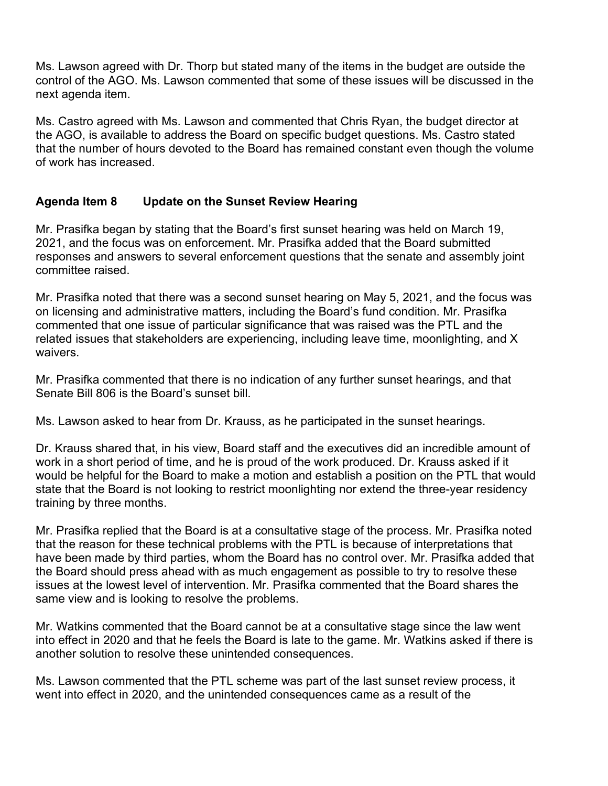Ms. Lawson agreed with Dr. Thorp but stated many of the items in the budget are outside the control of the AGO. Ms. Lawson commented that some of these issues will be discussed in the next agenda item.

Ms. Castro agreed with Ms. Lawson and commented that Chris Ryan, the budget director at the AGO, is available to address the Board on specific budget questions. Ms. Castro stated that the number of hours devoted to the Board has remained constant even though the volume of work has increased.

# **Agenda Item 8 Update on the Sunset Review Hearing**

Mr. Prasifka began by stating that the Board's first sunset hearing was held on March 19, 2021, and the focus was on enforcement. Mr. Prasifka added that the Board submitted responses and answers to several enforcement questions that the senate and assembly joint committee raised.

Mr. Prasifka noted that there was a second sunset hearing on May 5, 2021, and the focus was on licensing and administrative matters, including the Board's fund condition. Mr. Prasifka commented that one issue of particular significance that was raised was the PTL and the related issues that stakeholders are experiencing, including leave time, moonlighting, and X waivers.

Mr. Prasifka commented that there is no indication of any further sunset hearings, and that Senate Bill 806 is the Board's sunset bill.

Ms. Lawson asked to hear from Dr. Krauss, as he participated in the sunset hearings.

Dr. Krauss shared that, in his view, Board staff and the executives did an incredible amount of work in a short period of time, and he is proud of the work produced. Dr. Krauss asked if it would be helpful for the Board to make a motion and establish a position on the PTL that would state that the Board is not looking to restrict moonlighting nor extend the three-year residency training by three months.

Mr. Prasifka replied that the Board is at a consultative stage of the process. Mr. Prasifka noted that the reason for these technical problems with the PTL is because of interpretations that have been made by third parties, whom the Board has no control over. Mr. Prasifka added that the Board should press ahead with as much engagement as possible to try to resolve these issues at the lowest level of intervention. Mr. Prasifka commented that the Board shares the same view and is looking to resolve the problems.

Mr. Watkins commented that the Board cannot be at a consultative stage since the law went into effect in 2020 and that he feels the Board is late to the game. Mr. Watkins asked if there is another solution to resolve these unintended consequences.

Ms. Lawson commented that the PTL scheme was part of the last sunset review process, it went into effect in 2020, and the unintended consequences came as a result of the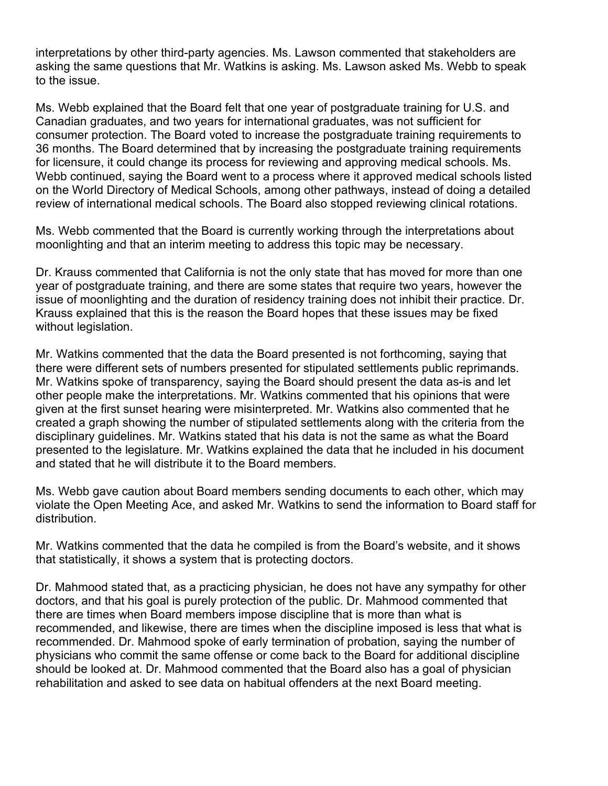interpretations by other third-party agencies. Ms. Lawson commented that stakeholders are asking the same questions that Mr. Watkins is asking. Ms. Lawson asked Ms. Webb to speak to the issue.

Ms. Webb explained that the Board felt that one year of postgraduate training for U.S. and Canadian graduates, and two years for international graduates, was not sufficient for consumer protection. The Board voted to increase the postgraduate training requirements to 36 months. The Board determined that by increasing the postgraduate training requirements for licensure, it could change its process for reviewing and approving medical schools. Ms. Webb continued, saying the Board went to a process where it approved medical schools listed on the World Directory of Medical Schools, among other pathways, instead of doing a detailed review of international medical schools. The Board also stopped reviewing clinical rotations.

Ms. Webb commented that the Board is currently working through the interpretations about moonlighting and that an interim meeting to address this topic may be necessary.

Dr. Krauss commented that California is not the only state that has moved for more than one year of postgraduate training, and there are some states that require two years, however the issue of moonlighting and the duration of residency training does not inhibit their practice. Dr. Krauss explained that this is the reason the Board hopes that these issues may be fixed without legislation.

Mr. Watkins commented that the data the Board presented is not forthcoming, saying that there were different sets of numbers presented for stipulated settlements public reprimands. Mr. Watkins spoke of transparency, saying the Board should present the data as-is and let other people make the interpretations. Mr. Watkins commented that his opinions that were given at the first sunset hearing were misinterpreted. Mr. Watkins also commented that he created a graph showing the number of stipulated settlements along with the criteria from the disciplinary guidelines. Mr. Watkins stated that his data is not the same as what the Board presented to the legislature. Mr. Watkins explained the data that he included in his document and stated that he will distribute it to the Board members.

Ms. Webb gave caution about Board members sending documents to each other, which may violate the Open Meeting Ace, and asked Mr. Watkins to send the information to Board staff for distribution.

Mr. Watkins commented that the data he compiled is from the Board's website, and it shows that statistically, it shows a system that is protecting doctors.

Dr. Mahmood stated that, as a practicing physician, he does not have any sympathy for other doctors, and that his goal is purely protection of the public. Dr. Mahmood commented that there are times when Board members impose discipline that is more than what is recommended, and likewise, there are times when the discipline imposed is less that what is recommended. Dr. Mahmood spoke of early termination of probation, saying the number of physicians who commit the same offense or come back to the Board for additional discipline should be looked at. Dr. Mahmood commented that the Board also has a goal of physician rehabilitation and asked to see data on habitual offenders at the next Board meeting.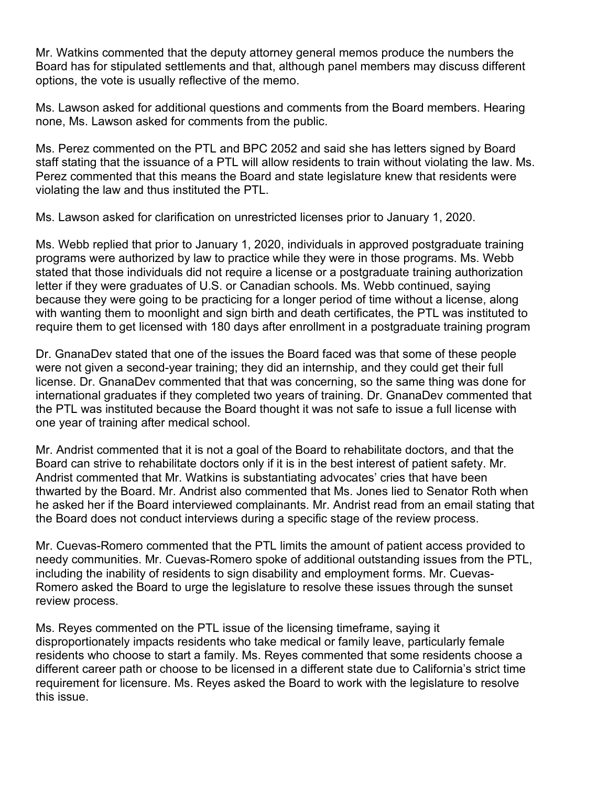Mr. Watkins commented that the deputy attorney general memos produce the numbers the Board has for stipulated settlements and that, although panel members may discuss different options, the vote is usually reflective of the memo.

Ms. Lawson asked for additional questions and comments from the Board members. Hearing none, Ms. Lawson asked for comments from the public.

Ms. Perez commented on the PTL and BPC 2052 and said she has letters signed by Board staff stating that the issuance of a PTL will allow residents to train without violating the law. Ms. Perez commented that this means the Board and state legislature knew that residents were violating the law and thus instituted the PTL.

Ms. Lawson asked for clarification on unrestricted licenses prior to January 1, 2020.

Ms. Webb replied that prior to January 1, 2020, individuals in approved postgraduate training programs were authorized by law to practice while they were in those programs. Ms. Webb stated that those individuals did not require a license or a postgraduate training authorization letter if they were graduates of U.S. or Canadian schools. Ms. Webb continued, saying because they were going to be practicing for a longer period of time without a license, along with wanting them to moonlight and sign birth and death certificates, the PTL was instituted to require them to get licensed with 180 days after enrollment in a postgraduate training program

Dr. GnanaDev stated that one of the issues the Board faced was that some of these people were not given a second-year training; they did an internship, and they could get their full license. Dr. GnanaDev commented that that was concerning, so the same thing was done for international graduates if they completed two years of training. Dr. GnanaDev commented that the PTL was instituted because the Board thought it was not safe to issue a full license with one year of training after medical school.

Mr. Andrist commented that it is not a goal of the Board to rehabilitate doctors, and that the Board can strive to rehabilitate doctors only if it is in the best interest of patient safety. Mr. Andrist commented that Mr. Watkins is substantiating advocates' cries that have been thwarted by the Board. Mr. Andrist also commented that Ms. Jones lied to Senator Roth when he asked her if the Board interviewed complainants. Mr. Andrist read from an email stating that the Board does not conduct interviews during a specific stage of the review process.

Mr. Cuevas-Romero commented that the PTL limits the amount of patient access provided to needy communities. Mr. Cuevas-Romero spoke of additional outstanding issues from the PTL, including the inability of residents to sign disability and employment forms. Mr. Cuevas-Romero asked the Board to urge the legislature to resolve these issues through the sunset review process.

Ms. Reyes commented on the PTL issue of the licensing timeframe, saying it disproportionately impacts residents who take medical or family leave, particularly female residents who choose to start a family. Ms. Reyes commented that some residents choose a different career path or choose to be licensed in a different state due to California's strict time requirement for licensure. Ms. Reyes asked the Board to work with the legislature to resolve this issue.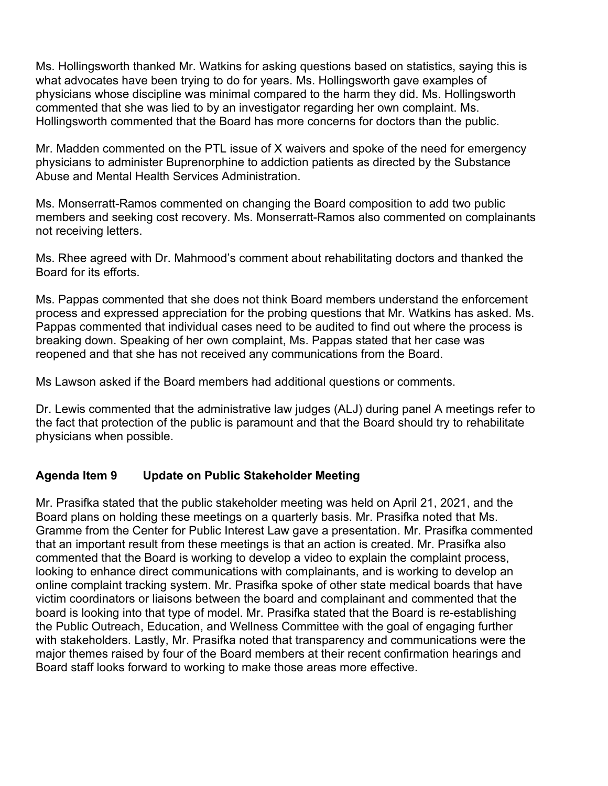Ms. Hollingsworth thanked Mr. Watkins for asking questions based on statistics, saying this is what advocates have been trying to do for years. Ms. Hollingsworth gave examples of physicians whose discipline was minimal compared to the harm they did. Ms. Hollingsworth commented that she was lied to by an investigator regarding her own complaint. Ms. Hollingsworth commented that the Board has more concerns for doctors than the public.

Mr. Madden commented on the PTL issue of X waivers and spoke of the need for emergency physicians to administer Buprenorphine to addiction patients as directed by the Substance Abuse and Mental Health Services Administration.

Ms. Monserratt-Ramos commented on changing the Board composition to add two public members and seeking cost recovery. Ms. Monserratt-Ramos also commented on complainants not receiving letters.

Ms. Rhee agreed with Dr. Mahmood's comment about rehabilitating doctors and thanked the Board for its efforts.

Ms. Pappas commented that she does not think Board members understand the enforcement process and expressed appreciation for the probing questions that Mr. Watkins has asked. Ms. Pappas commented that individual cases need to be audited to find out where the process is breaking down. Speaking of her own complaint, Ms. Pappas stated that her case was reopened and that she has not received any communications from the Board.

Ms Lawson asked if the Board members had additional questions or comments.

Dr. Lewis commented that the administrative law judges (ALJ) during panel A meetings refer to the fact that protection of the public is paramount and that the Board should try to rehabilitate physicians when possible.

#### **Agenda Item 9 Update on Public Stakeholder Meeting**

Mr. Prasifka stated that the public stakeholder meeting was held on April 21, 2021, and the Board plans on holding these meetings on a quarterly basis. Mr. Prasifka noted that Ms. Gramme from the Center for Public Interest Law gave a presentation. Mr. Prasifka commented that an important result from these meetings is that an action is created. Mr. Prasifka also commented that the Board is working to develop a video to explain the complaint process, looking to enhance direct communications with complainants, and is working to develop an online complaint tracking system. Mr. Prasifka spoke of other state medical boards that have victim coordinators or liaisons between the board and complainant and commented that the board is looking into that type of model. Mr. Prasifka stated that the Board is re-establishing the Public Outreach, Education, and Wellness Committee with the goal of engaging further with stakeholders. Lastly, Mr. Prasifka noted that transparency and communications were the major themes raised by four of the Board members at their recent confirmation hearings and Board staff looks forward to working to make those areas more effective.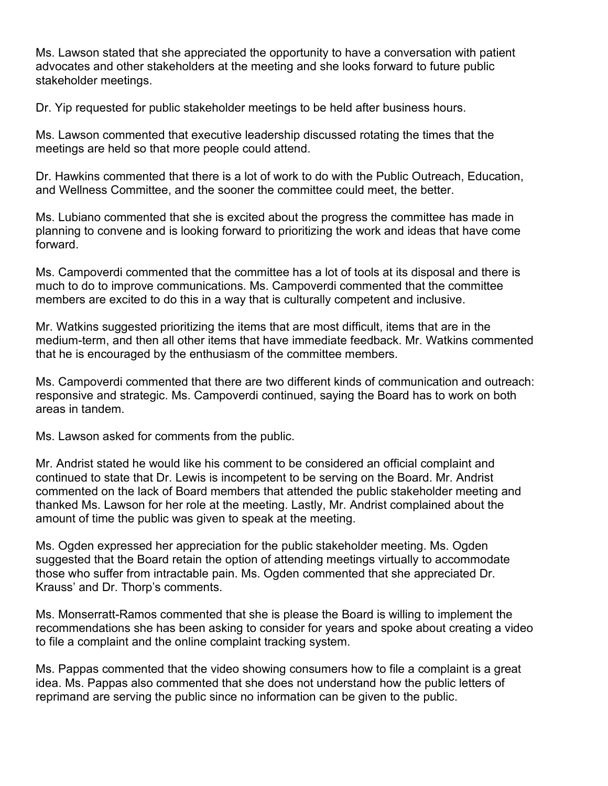Ms. Lawson stated that she appreciated the opportunity to have a conversation with patient advocates and other stakeholders at the meeting and she looks forward to future public stakeholder meetings.

Dr. Yip requested for public stakeholder meetings to be held after business hours.

Ms. Lawson commented that executive leadership discussed rotating the times that the meetings are held so that more people could attend.

Dr. Hawkins commented that there is a lot of work to do with the Public Outreach, Education, and Wellness Committee, and the sooner the committee could meet, the better.

Ms. Lubiano commented that she is excited about the progress the committee has made in planning to convene and is looking forward to prioritizing the work and ideas that have come forward.

Ms. Campoverdi commented that the committee has a lot of tools at its disposal and there is much to do to improve communications. Ms. Campoverdi commented that the committee members are excited to do this in a way that is culturally competent and inclusive.

Mr. Watkins suggested prioritizing the items that are most difficult, items that are in the medium-term, and then all other items that have immediate feedback. Mr. Watkins commented that he is encouraged by the enthusiasm of the committee members.

Ms. Campoverdi commented that there are two different kinds of communication and outreach: responsive and strategic. Ms. Campoverdi continued, saying the Board has to work on both areas in tandem.

Ms. Lawson asked for comments from the public.

Mr. Andrist stated he would like his comment to be considered an official complaint and continued to state that Dr. Lewis is incompetent to be serving on the Board. Mr. Andrist commented on the lack of Board members that attended the public stakeholder meeting and thanked Ms. Lawson for her role at the meeting. Lastly, Mr. Andrist complained about the amount of time the public was given to speak at the meeting.

Ms. Ogden expressed her appreciation for the public stakeholder meeting. Ms. Ogden suggested that the Board retain the option of attending meetings virtually to accommodate those who suffer from intractable pain. Ms. Ogden commented that she appreciated Dr. Krauss' and Dr. Thorp's comments.

Ms. Monserratt-Ramos commented that she is please the Board is willing to implement the recommendations she has been asking to consider for years and spoke about creating a video to file a complaint and the online complaint tracking system.

Ms. Pappas commented that the video showing consumers how to file a complaint is a great idea. Ms. Pappas also commented that she does not understand how the public letters of reprimand are serving the public since no information can be given to the public.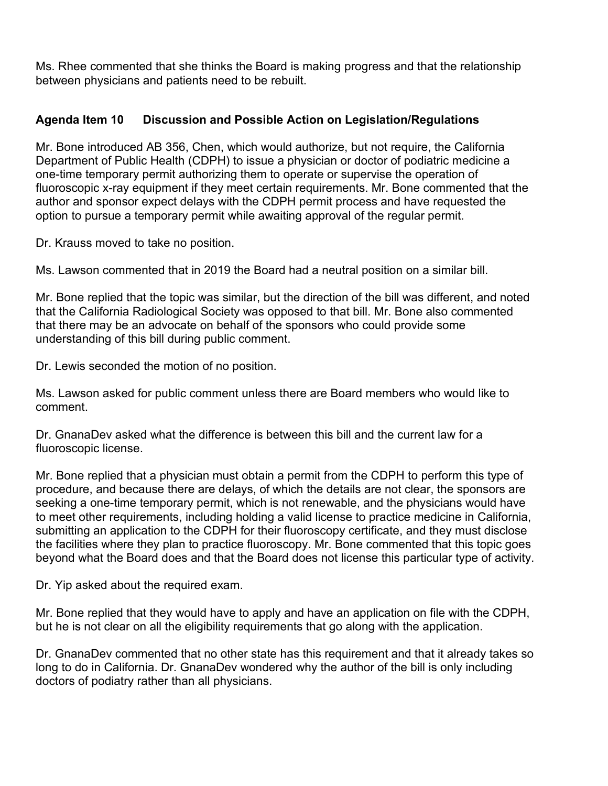Ms. Rhee commented that she thinks the Board is making progress and that the relationship between physicians and patients need to be rebuilt.

# **Agenda Item 10 Discussion and Possible Action on Legislation/Regulations**

Mr. Bone introduced AB 356, Chen, which would authorize, but not require, the California Department of Public Health (CDPH) to issue a physician or doctor of podiatric medicine a one-time temporary permit authorizing them to operate or supervise the operation of fluoroscopic x-ray equipment if they meet certain requirements. Mr. Bone commented that the author and sponsor expect delays with the CDPH permit process and have requested the option to pursue a temporary permit while awaiting approval of the regular permit.

Dr. Krauss moved to take no position.

Ms. Lawson commented that in 2019 the Board had a neutral position on a similar bill.

Mr. Bone replied that the topic was similar, but the direction of the bill was different, and noted that the California Radiological Society was opposed to that bill. Mr. Bone also commented that there may be an advocate on behalf of the sponsors who could provide some understanding of this bill during public comment.

Dr. Lewis seconded the motion of no position.

Ms. Lawson asked for public comment unless there are Board members who would like to comment.

Dr. GnanaDev asked what the difference is between this bill and the current law for a fluoroscopic license.

Mr. Bone replied that a physician must obtain a permit from the CDPH to perform this type of procedure, and because there are delays, of which the details are not clear, the sponsors are seeking a one-time temporary permit, which is not renewable, and the physicians would have to meet other requirements, including holding a valid license to practice medicine in California, submitting an application to the CDPH for their fluoroscopy certificate, and they must disclose the facilities where they plan to practice fluoroscopy. Mr. Bone commented that this topic goes beyond what the Board does and that the Board does not license this particular type of activity.

Dr. Yip asked about the required exam.

Mr. Bone replied that they would have to apply and have an application on file with the CDPH, but he is not clear on all the eligibility requirements that go along with the application.

Dr. GnanaDev commented that no other state has this requirement and that it already takes so long to do in California. Dr. GnanaDev wondered why the author of the bill is only including doctors of podiatry rather than all physicians.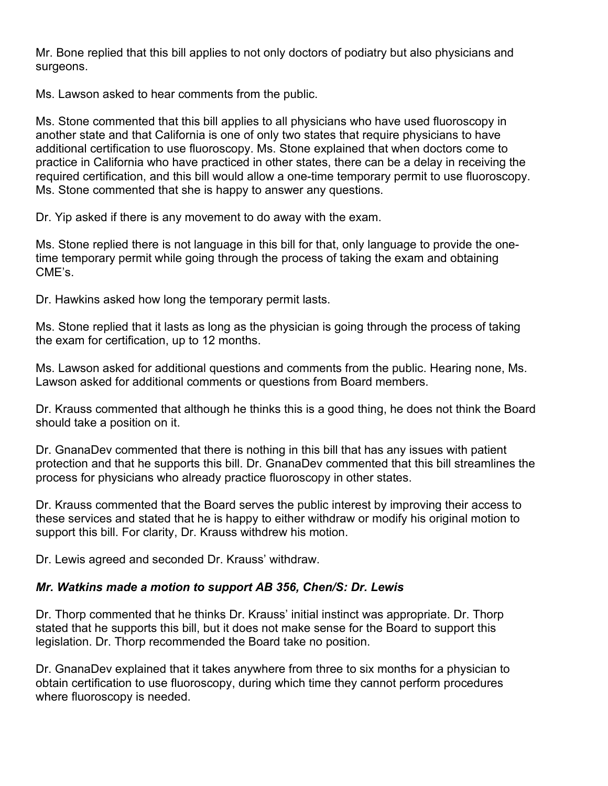Mr. Bone replied that this bill applies to not only doctors of podiatry but also physicians and surgeons.

Ms. Lawson asked to hear comments from the public.

Ms. Stone commented that this bill applies to all physicians who have used fluoroscopy in another state and that California is one of only two states that require physicians to have additional certification to use fluoroscopy. Ms. Stone explained that when doctors come to practice in California who have practiced in other states, there can be a delay in receiving the required certification, and this bill would allow a one-time temporary permit to use fluoroscopy. Ms. Stone commented that she is happy to answer any questions.

Dr. Yip asked if there is any movement to do away with the exam.

Ms. Stone replied there is not language in this bill for that, only language to provide the onetime temporary permit while going through the process of taking the exam and obtaining CME's.

Dr. Hawkins asked how long the temporary permit lasts.

Ms. Stone replied that it lasts as long as the physician is going through the process of taking the exam for certification, up to 12 months.

Ms. Lawson asked for additional questions and comments from the public. Hearing none, Ms. Lawson asked for additional comments or questions from Board members.

Dr. Krauss commented that although he thinks this is a good thing, he does not think the Board should take a position on it.

Dr. GnanaDev commented that there is nothing in this bill that has any issues with patient protection and that he supports this bill. Dr. GnanaDev commented that this bill streamlines the process for physicians who already practice fluoroscopy in other states.

Dr. Krauss commented that the Board serves the public interest by improving their access to these services and stated that he is happy to either withdraw or modify his original motion to support this bill. For clarity, Dr. Krauss withdrew his motion.

Dr. Lewis agreed and seconded Dr. Krauss' withdraw.

# *Mr. Watkins made a motion to support AB 356, Chen/S: Dr. Lewis*

Dr. Thorp commented that he thinks Dr. Krauss' initial instinct was appropriate. Dr. Thorp stated that he supports this bill, but it does not make sense for the Board to support this legislation. Dr. Thorp recommended the Board take no position.

Dr. GnanaDev explained that it takes anywhere from three to six months for a physician to obtain certification to use fluoroscopy, during which time they cannot perform procedures where fluoroscopy is needed.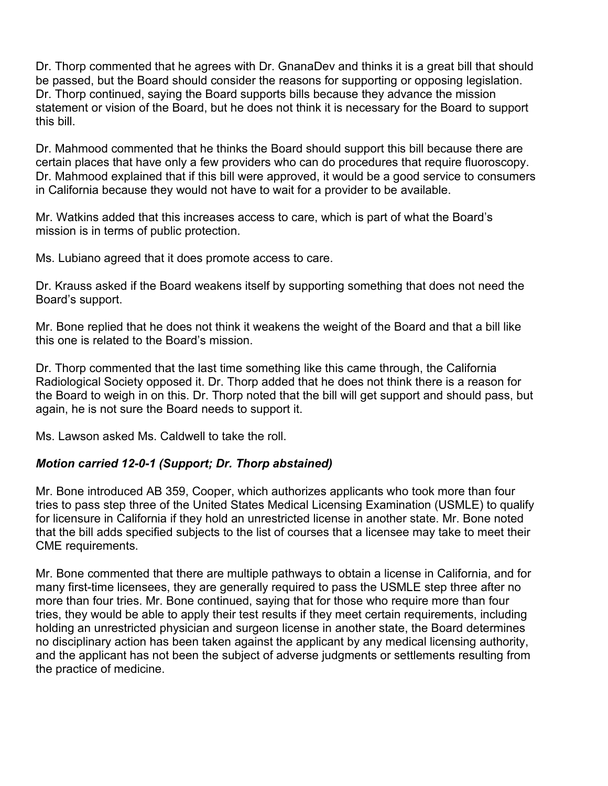Dr. Thorp commented that he agrees with Dr. GnanaDev and thinks it is a great bill that should be passed, but the Board should consider the reasons for supporting or opposing legislation. Dr. Thorp continued, saying the Board supports bills because they advance the mission statement or vision of the Board, but he does not think it is necessary for the Board to support this bill.

Dr. Mahmood commented that he thinks the Board should support this bill because there are certain places that have only a few providers who can do procedures that require fluoroscopy. Dr. Mahmood explained that if this bill were approved, it would be a good service to consumers in California because they would not have to wait for a provider to be available.

Mr. Watkins added that this increases access to care, which is part of what the Board's mission is in terms of public protection.

Ms. Lubiano agreed that it does promote access to care.

Dr. Krauss asked if the Board weakens itself by supporting something that does not need the Board's support.

Mr. Bone replied that he does not think it weakens the weight of the Board and that a bill like this one is related to the Board's mission.

Dr. Thorp commented that the last time something like this came through, the California Radiological Society opposed it. Dr. Thorp added that he does not think there is a reason for the Board to weigh in on this. Dr. Thorp noted that the bill will get support and should pass, but again, he is not sure the Board needs to support it.

Ms. Lawson asked Ms. Caldwell to take the roll.

# *Motion carried 12-0-1 (Support; Dr. Thorp abstained)*

Mr. Bone introduced AB 359, Cooper, which authorizes applicants who took more than four tries to pass step three of the United States Medical Licensing Examination (USMLE) to qualify for licensure in California if they hold an unrestricted license in another state. Mr. Bone noted that the bill adds specified subjects to the list of courses that a licensee may take to meet their CME requirements.

Mr. Bone commented that there are multiple pathways to obtain a license in California, and for many first-time licensees, they are generally required to pass the USMLE step three after no more than four tries. Mr. Bone continued, saying that for those who require more than four tries, they would be able to apply their test results if they meet certain requirements, including holding an unrestricted physician and surgeon license in another state, the Board determines no disciplinary action has been taken against the applicant by any medical licensing authority, and the applicant has not been the subject of adverse judgments or settlements resulting from the practice of medicine.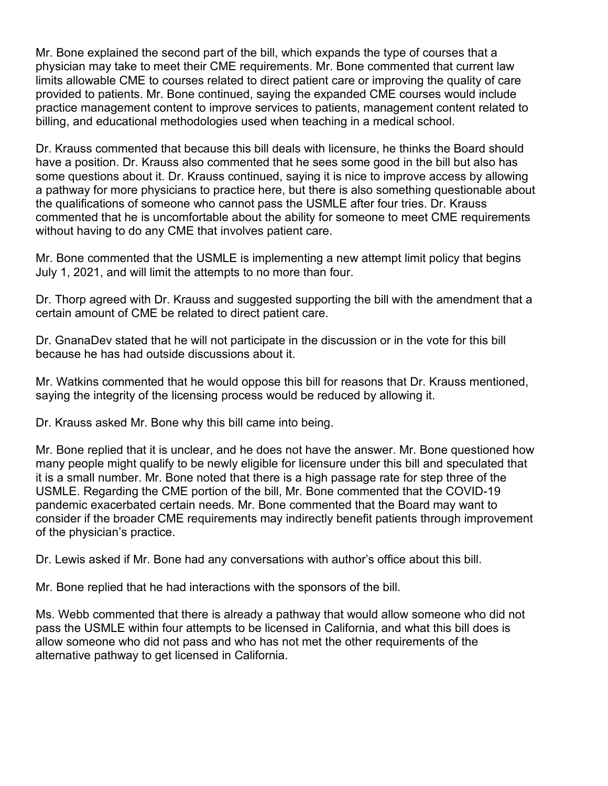Mr. Bone explained the second part of the bill, which expands the type of courses that a physician may take to meet their CME requirements. Mr. Bone commented that current law limits allowable CME to courses related to direct patient care or improving the quality of care provided to patients. Mr. Bone continued, saying the expanded CME courses would include practice management content to improve services to patients, management content related to billing, and educational methodologies used when teaching in a medical school.

Dr. Krauss commented that because this bill deals with licensure, he thinks the Board should have a position. Dr. Krauss also commented that he sees some good in the bill but also has some questions about it. Dr. Krauss continued, saying it is nice to improve access by allowing a pathway for more physicians to practice here, but there is also something questionable about the qualifications of someone who cannot pass the USMLE after four tries. Dr. Krauss commented that he is uncomfortable about the ability for someone to meet CME requirements without having to do any CME that involves patient care.

Mr. Bone commented that the USMLE is implementing a new attempt limit policy that begins July 1, 2021, and will limit the attempts to no more than four.

Dr. Thorp agreed with Dr. Krauss and suggested supporting the bill with the amendment that a certain amount of CME be related to direct patient care.

Dr. GnanaDev stated that he will not participate in the discussion or in the vote for this bill because he has had outside discussions about it.

Mr. Watkins commented that he would oppose this bill for reasons that Dr. Krauss mentioned, saying the integrity of the licensing process would be reduced by allowing it.

Dr. Krauss asked Mr. Bone why this bill came into being.

Mr. Bone replied that it is unclear, and he does not have the answer. Mr. Bone questioned how many people might qualify to be newly eligible for licensure under this bill and speculated that it is a small number. Mr. Bone noted that there is a high passage rate for step three of the USMLE. Regarding the CME portion of the bill, Mr. Bone commented that the COVID-19 pandemic exacerbated certain needs. Mr. Bone commented that the Board may want to consider if the broader CME requirements may indirectly benefit patients through improvement of the physician's practice.

Dr. Lewis asked if Mr. Bone had any conversations with author's office about this bill.

Mr. Bone replied that he had interactions with the sponsors of the bill.

Ms. Webb commented that there is already a pathway that would allow someone who did not pass the USMLE within four attempts to be licensed in California, and what this bill does is allow someone who did not pass and who has not met the other requirements of the alternative pathway to get licensed in California.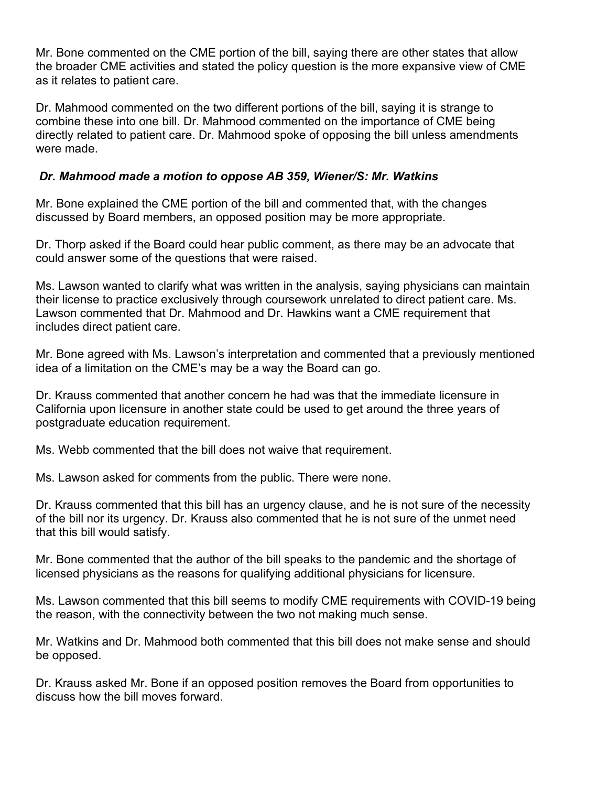Mr. Bone commented on the CME portion of the bill, saying there are other states that allow the broader CME activities and stated the policy question is the more expansive view of CME as it relates to patient care.

Dr. Mahmood commented on the two different portions of the bill, saying it is strange to combine these into one bill. Dr. Mahmood commented on the importance of CME being directly related to patient care. Dr. Mahmood spoke of opposing the bill unless amendments were made.

### *Dr. Mahmood made a motion to oppose AB 359, Wiener/S: Mr. Watkins*

Mr. Bone explained the CME portion of the bill and commented that, with the changes discussed by Board members, an opposed position may be more appropriate.

Dr. Thorp asked if the Board could hear public comment, as there may be an advocate that could answer some of the questions that were raised.

Ms. Lawson wanted to clarify what was written in the analysis, saying physicians can maintain their license to practice exclusively through coursework unrelated to direct patient care. Ms. Lawson commented that Dr. Mahmood and Dr. Hawkins want a CME requirement that includes direct patient care.

Mr. Bone agreed with Ms. Lawson's interpretation and commented that a previously mentioned idea of a limitation on the CME's may be a way the Board can go.

Dr. Krauss commented that another concern he had was that the immediate licensure in California upon licensure in another state could be used to get around the three years of postgraduate education requirement.

Ms. Webb commented that the bill does not waive that requirement.

Ms. Lawson asked for comments from the public. There were none.

Dr. Krauss commented that this bill has an urgency clause, and he is not sure of the necessity of the bill nor its urgency. Dr. Krauss also commented that he is not sure of the unmet need that this bill would satisfy.

Mr. Bone commented that the author of the bill speaks to the pandemic and the shortage of licensed physicians as the reasons for qualifying additional physicians for licensure.

Ms. Lawson commented that this bill seems to modify CME requirements with COVID-19 being the reason, with the connectivity between the two not making much sense.

Mr. Watkins and Dr. Mahmood both commented that this bill does not make sense and should be opposed.

Dr. Krauss asked Mr. Bone if an opposed position removes the Board from opportunities to discuss how the bill moves forward.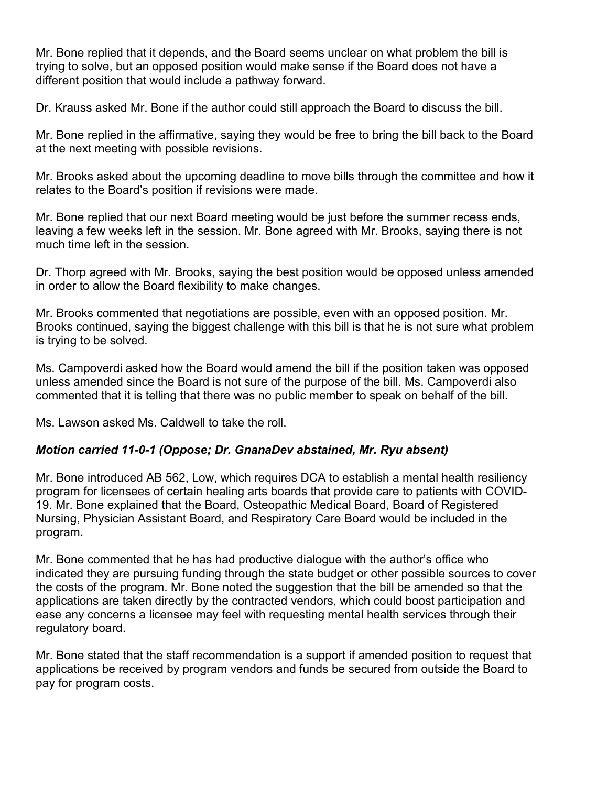Mr. Bone replied that it depends, and the Board seems unclear on what problem the bill is trying to solve, but an opposed position would make sense if the Board does not have a different position that would include a pathway forward.

Dr. Krauss asked Mr. Bone if the author could still approach the Board to discuss the bill.

Mr. Bone replied in the affirmative, saying they would be free to bring the bill back to the Board at the next meeting with possible revisions.

Mr. Brooks asked about the upcoming deadline to move bills through the committee and how it relates to the Board's position if revisions were made.

Mr. Bone replied that our next Board meeting would be just before the summer recess ends, leaving a few weeks left in the session. Mr. Bone agreed with Mr. Brooks, saying there is not much time left in the session.

Dr. Thorp agreed with Mr. Brooks, saying the best position would be opposed unless amended in order to allow the Board flexibility to make changes.

Mr. Brooks commented that negotiations are possible, even with an opposed position. Mr. Brooks continued, saying the biggest challenge with this bill is that he is not sure what problem is trying to be solved.

Ms. Campoverdi asked how the Board would amend the bill if the position taken was opposed unless amended since the Board is not sure of the purpose of the bill. Ms. Campoverdi also commented that it is telling that there was no public member to speak on behalf of the bill.

Ms. Lawson asked Ms. Caldwell to take the roll.

# *Motion carried 11-0-1 (Oppose; Dr. GnanaDev abstained, Mr. Ryu absent)*

Mr. Bone introduced AB 562, Low, which requires DCA to establish a mental health resiliency program for licensees of certain healing arts boards that provide care to patients with COVID-19. Mr. Bone explained that the Board, Osteopathic Medical Board, Board of Registered Nursing, Physician Assistant Board, and Respiratory Care Board would be included in the program.

Mr. Bone commented that he has had productive dialogue with the author's office who indicated they are pursuing funding through the state budget or other possible sources to cover the costs of the program. Mr. Bone noted the suggestion that the bill be amended so that the applications are taken directly by the contracted vendors, which could boost participation and ease any concerns a licensee may feel with requesting mental health services through their regulatory board.

Mr. Bone stated that the staff recommendation is a support if amended position to request that applications be received by program vendors and funds be secured from outside the Board to pay for program costs.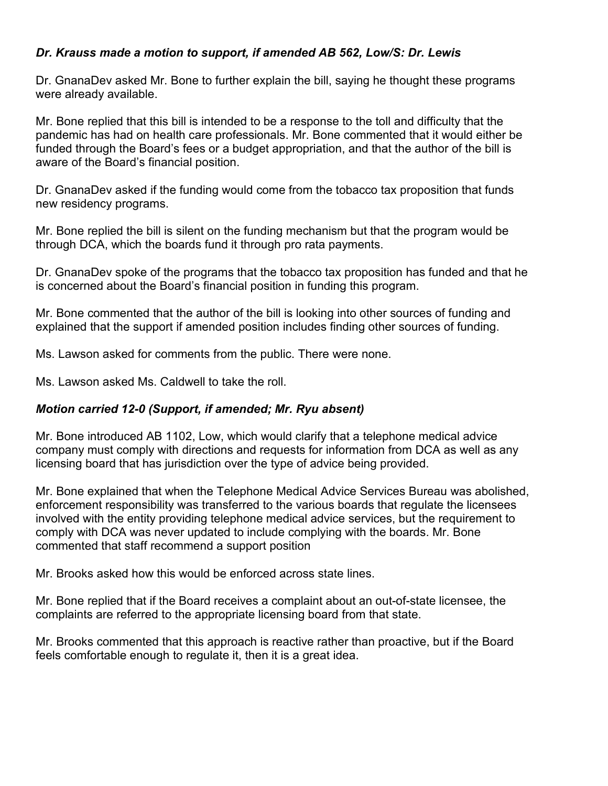### *Dr. Krauss made a motion to support, if amended AB 562, Low/S: Dr. Lewis*

Dr. GnanaDev asked Mr. Bone to further explain the bill, saying he thought these programs were already available.

Mr. Bone replied that this bill is intended to be a response to the toll and difficulty that the pandemic has had on health care professionals. Mr. Bone commented that it would either be funded through the Board's fees or a budget appropriation, and that the author of the bill is aware of the Board's financial position.

Dr. GnanaDev asked if the funding would come from the tobacco tax proposition that funds new residency programs.

Mr. Bone replied the bill is silent on the funding mechanism but that the program would be through DCA, which the boards fund it through pro rata payments.

Dr. GnanaDev spoke of the programs that the tobacco tax proposition has funded and that he is concerned about the Board's financial position in funding this program.

Mr. Bone commented that the author of the bill is looking into other sources of funding and explained that the support if amended position includes finding other sources of funding.

Ms. Lawson asked for comments from the public. There were none.

Ms. Lawson asked Ms. Caldwell to take the roll.

#### *Motion carried 12-0 (Support, if amended; Mr. Ryu absent)*

Mr. Bone introduced AB 1102, Low, which would clarify that a telephone medical advice company must comply with directions and requests for information from DCA as well as any licensing board that has jurisdiction over the type of advice being provided.

Mr. Bone explained that when the Telephone Medical Advice Services Bureau was abolished, enforcement responsibility was transferred to the various boards that regulate the licensees involved with the entity providing telephone medical advice services, but the requirement to comply with DCA was never updated to include complying with the boards. Mr. Bone commented that staff recommend a support position

Mr. Brooks asked how this would be enforced across state lines.

Mr. Bone replied that if the Board receives a complaint about an out-of-state licensee, the complaints are referred to the appropriate licensing board from that state.

Mr. Brooks commented that this approach is reactive rather than proactive, but if the Board feels comfortable enough to regulate it, then it is a great idea.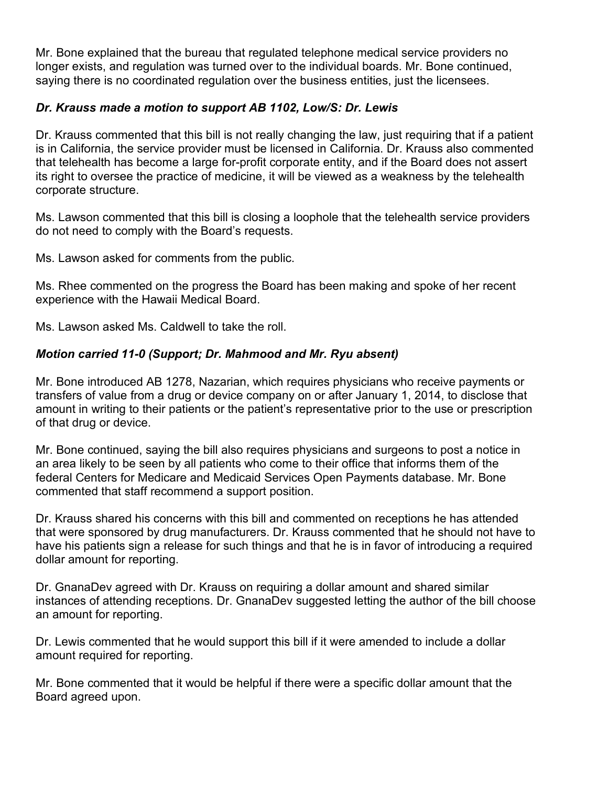Mr. Bone explained that the bureau that regulated telephone medical service providers no longer exists, and regulation was turned over to the individual boards. Mr. Bone continued, saying there is no coordinated regulation over the business entities, just the licensees.

# *Dr. Krauss made a motion to support AB 1102, Low/S: Dr. Lewis*

Dr. Krauss commented that this bill is not really changing the law, just requiring that if a patient is in California, the service provider must be licensed in California. Dr. Krauss also commented that telehealth has become a large for-profit corporate entity, and if the Board does not assert its right to oversee the practice of medicine, it will be viewed as a weakness by the telehealth corporate structure.

Ms. Lawson commented that this bill is closing a loophole that the telehealth service providers do not need to comply with the Board's requests.

Ms. Lawson asked for comments from the public.

Ms. Rhee commented on the progress the Board has been making and spoke of her recent experience with the Hawaii Medical Board.

Ms. Lawson asked Ms. Caldwell to take the roll.

# *Motion carried 11-0 (Support; Dr. Mahmood and Mr. Ryu absent)*

Mr. Bone introduced AB 1278, Nazarian, which requires physicians who receive payments or transfers of value from a drug or device company on or after January 1, 2014, to disclose that amount in writing to their patients or the patient's representative prior to the use or prescription of that drug or device.

Mr. Bone continued, saying the bill also requires physicians and surgeons to post a notice in an area likely to be seen by all patients who come to their office that informs them of the federal Centers for Medicare and Medicaid Services Open Payments database. Mr. Bone commented that staff recommend a support position.

Dr. Krauss shared his concerns with this bill and commented on receptions he has attended that were sponsored by drug manufacturers. Dr. Krauss commented that he should not have to have his patients sign a release for such things and that he is in favor of introducing a required dollar amount for reporting.

Dr. GnanaDev agreed with Dr. Krauss on requiring a dollar amount and shared similar instances of attending receptions. Dr. GnanaDev suggested letting the author of the bill choose an amount for reporting.

Dr. Lewis commented that he would support this bill if it were amended to include a dollar amount required for reporting.

Mr. Bone commented that it would be helpful if there were a specific dollar amount that the Board agreed upon.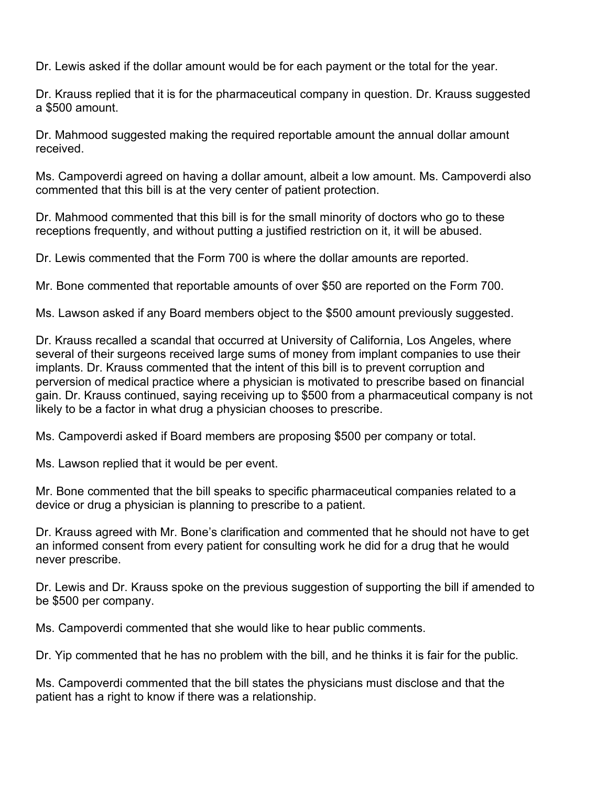Dr. Lewis asked if the dollar amount would be for each payment or the total for the year.

Dr. Krauss replied that it is for the pharmaceutical company in question. Dr. Krauss suggested a \$500 amount.

Dr. Mahmood suggested making the required reportable amount the annual dollar amount received.

Ms. Campoverdi agreed on having a dollar amount, albeit a low amount. Ms. Campoverdi also commented that this bill is at the very center of patient protection.

Dr. Mahmood commented that this bill is for the small minority of doctors who go to these receptions frequently, and without putting a justified restriction on it, it will be abused.

Dr. Lewis commented that the Form 700 is where the dollar amounts are reported.

Mr. Bone commented that reportable amounts of over \$50 are reported on the Form 700.

Ms. Lawson asked if any Board members object to the \$500 amount previously suggested.

Dr. Krauss recalled a scandal that occurred at University of California, Los Angeles, where several of their surgeons received large sums of money from implant companies to use their implants. Dr. Krauss commented that the intent of this bill is to prevent corruption and perversion of medical practice where a physician is motivated to prescribe based on financial gain. Dr. Krauss continued, saying receiving up to \$500 from a pharmaceutical company is not likely to be a factor in what drug a physician chooses to prescribe.

Ms. Campoverdi asked if Board members are proposing \$500 per company or total.

Ms. Lawson replied that it would be per event.

Mr. Bone commented that the bill speaks to specific pharmaceutical companies related to a device or drug a physician is planning to prescribe to a patient.

Dr. Krauss agreed with Mr. Bone's clarification and commented that he should not have to get an informed consent from every patient for consulting work he did for a drug that he would never prescribe.

Dr. Lewis and Dr. Krauss spoke on the previous suggestion of supporting the bill if amended to be \$500 per company.

Ms. Campoverdi commented that she would like to hear public comments.

Dr. Yip commented that he has no problem with the bill, and he thinks it is fair for the public.

Ms. Campoverdi commented that the bill states the physicians must disclose and that the patient has a right to know if there was a relationship.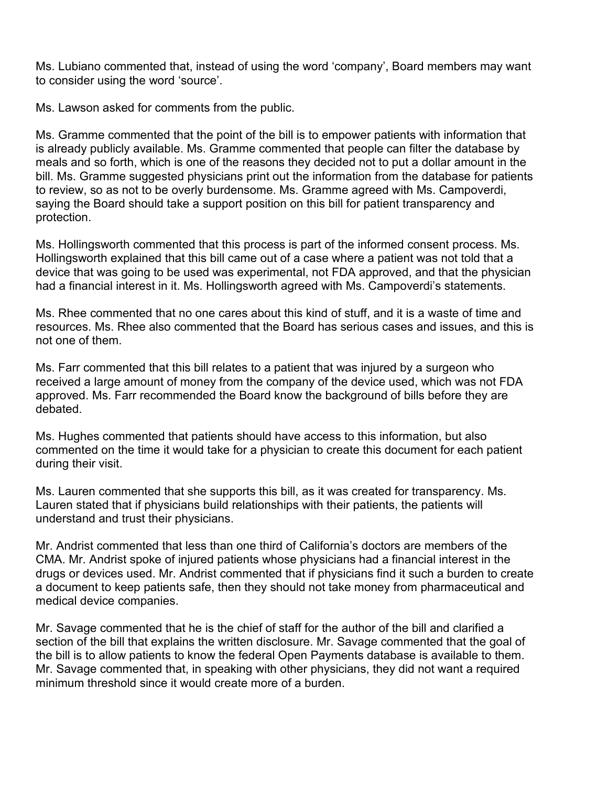Ms. Lubiano commented that, instead of using the word 'company', Board members may want to consider using the word 'source'.

Ms. Lawson asked for comments from the public.

Ms. Gramme commented that the point of the bill is to empower patients with information that is already publicly available. Ms. Gramme commented that people can filter the database by meals and so forth, which is one of the reasons they decided not to put a dollar amount in the bill. Ms. Gramme suggested physicians print out the information from the database for patients to review, so as not to be overly burdensome. Ms. Gramme agreed with Ms. Campoverdi, saying the Board should take a support position on this bill for patient transparency and protection.

Ms. Hollingsworth commented that this process is part of the informed consent process. Ms. Hollingsworth explained that this bill came out of a case where a patient was not told that a device that was going to be used was experimental, not FDA approved, and that the physician had a financial interest in it. Ms. Hollingsworth agreed with Ms. Campoverdi's statements.

Ms. Rhee commented that no one cares about this kind of stuff, and it is a waste of time and resources. Ms. Rhee also commented that the Board has serious cases and issues, and this is not one of them.

Ms. Farr commented that this bill relates to a patient that was injured by a surgeon who received a large amount of money from the company of the device used, which was not FDA approved. Ms. Farr recommended the Board know the background of bills before they are debated.

Ms. Hughes commented that patients should have access to this information, but also commented on the time it would take for a physician to create this document for each patient during their visit.

Ms. Lauren commented that she supports this bill, as it was created for transparency. Ms. Lauren stated that if physicians build relationships with their patients, the patients will understand and trust their physicians.

Mr. Andrist commented that less than one third of California's doctors are members of the CMA. Mr. Andrist spoke of injured patients whose physicians had a financial interest in the drugs or devices used. Mr. Andrist commented that if physicians find it such a burden to create a document to keep patients safe, then they should not take money from pharmaceutical and medical device companies.

Mr. Savage commented that he is the chief of staff for the author of the bill and clarified a section of the bill that explains the written disclosure. Mr. Savage commented that the goal of the bill is to allow patients to know the federal Open Payments database is available to them. Mr. Savage commented that, in speaking with other physicians, they did not want a required minimum threshold since it would create more of a burden.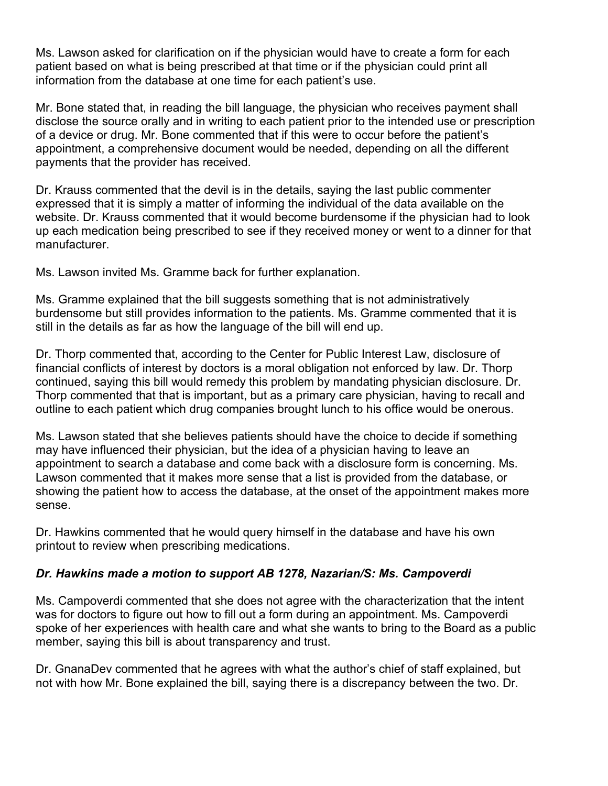Ms. Lawson asked for clarification on if the physician would have to create a form for each patient based on what is being prescribed at that time or if the physician could print all information from the database at one time for each patient's use.

Mr. Bone stated that, in reading the bill language, the physician who receives payment shall disclose the source orally and in writing to each patient prior to the intended use or prescription of a device or drug. Mr. Bone commented that if this were to occur before the patient's appointment, a comprehensive document would be needed, depending on all the different payments that the provider has received.

Dr. Krauss commented that the devil is in the details, saying the last public commenter expressed that it is simply a matter of informing the individual of the data available on the website. Dr. Krauss commented that it would become burdensome if the physician had to look up each medication being prescribed to see if they received money or went to a dinner for that manufacturer.

Ms. Lawson invited Ms. Gramme back for further explanation.

Ms. Gramme explained that the bill suggests something that is not administratively burdensome but still provides information to the patients. Ms. Gramme commented that it is still in the details as far as how the language of the bill will end up.

Dr. Thorp commented that, according to the Center for Public Interest Law, disclosure of financial conflicts of interest by doctors is a moral obligation not enforced by law. Dr. Thorp continued, saying this bill would remedy this problem by mandating physician disclosure. Dr. Thorp commented that that is important, but as a primary care physician, having to recall and outline to each patient which drug companies brought lunch to his office would be onerous.

Ms. Lawson stated that she believes patients should have the choice to decide if something may have influenced their physician, but the idea of a physician having to leave an appointment to search a database and come back with a disclosure form is concerning. Ms. Lawson commented that it makes more sense that a list is provided from the database, or showing the patient how to access the database, at the onset of the appointment makes more sense.

Dr. Hawkins commented that he would query himself in the database and have his own printout to review when prescribing medications.

# *Dr. Hawkins made a motion to support AB 1278, Nazarian/S: Ms. Campoverdi*

Ms. Campoverdi commented that she does not agree with the characterization that the intent was for doctors to figure out how to fill out a form during an appointment. Ms. Campoverdi spoke of her experiences with health care and what she wants to bring to the Board as a public member, saying this bill is about transparency and trust.

Dr. GnanaDev commented that he agrees with what the author's chief of staff explained, but not with how Mr. Bone explained the bill, saying there is a discrepancy between the two. Dr.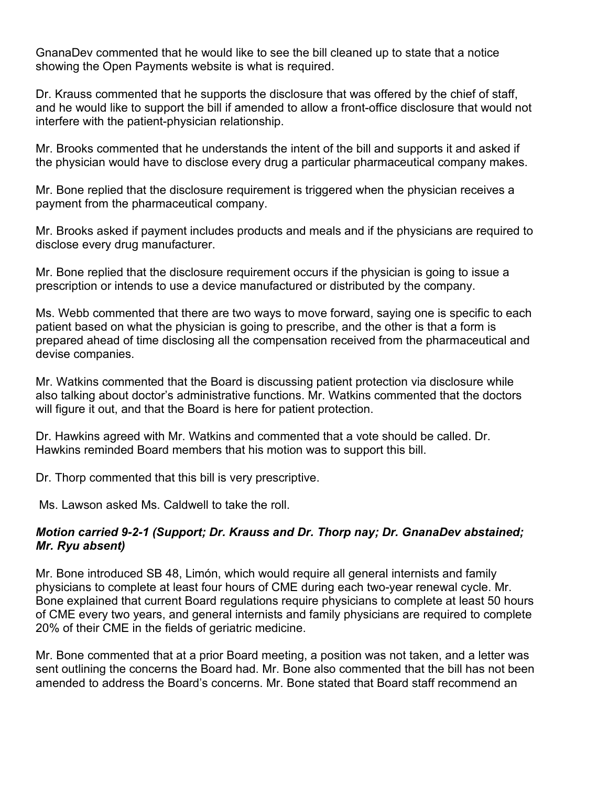GnanaDev commented that he would like to see the bill cleaned up to state that a notice showing the Open Payments website is what is required.

Dr. Krauss commented that he supports the disclosure that was offered by the chief of staff, and he would like to support the bill if amended to allow a front-office disclosure that would not interfere with the patient-physician relationship.

Mr. Brooks commented that he understands the intent of the bill and supports it and asked if the physician would have to disclose every drug a particular pharmaceutical company makes.

Mr. Bone replied that the disclosure requirement is triggered when the physician receives a payment from the pharmaceutical company.

Mr. Brooks asked if payment includes products and meals and if the physicians are required to disclose every drug manufacturer.

Mr. Bone replied that the disclosure requirement occurs if the physician is going to issue a prescription or intends to use a device manufactured or distributed by the company.

Ms. Webb commented that there are two ways to move forward, saying one is specific to each patient based on what the physician is going to prescribe, and the other is that a form is prepared ahead of time disclosing all the compensation received from the pharmaceutical and devise companies.

Mr. Watkins commented that the Board is discussing patient protection via disclosure while also talking about doctor's administrative functions. Mr. Watkins commented that the doctors will figure it out, and that the Board is here for patient protection.

Dr. Hawkins agreed with Mr. Watkins and commented that a vote should be called. Dr. Hawkins reminded Board members that his motion was to support this bill.

Dr. Thorp commented that this bill is very prescriptive.

Ms. Lawson asked Ms. Caldwell to take the roll.

### *Motion carried 9-2-1 (Support; Dr. Krauss and Dr. Thorp nay; Dr. GnanaDev abstained; Mr. Ryu absent)*

Mr. Bone introduced SB 48, Limón, which would require all general internists and family physicians to complete at least four hours of CME during each two-year renewal cycle. Mr. Bone explained that current Board regulations require physicians to complete at least 50 hours of CME every two years, and general internists and family physicians are required to complete 20% of their CME in the fields of geriatric medicine.

Mr. Bone commented that at a prior Board meeting, a position was not taken, and a letter was sent outlining the concerns the Board had. Mr. Bone also commented that the bill has not been amended to address the Board's concerns. Mr. Bone stated that Board staff recommend an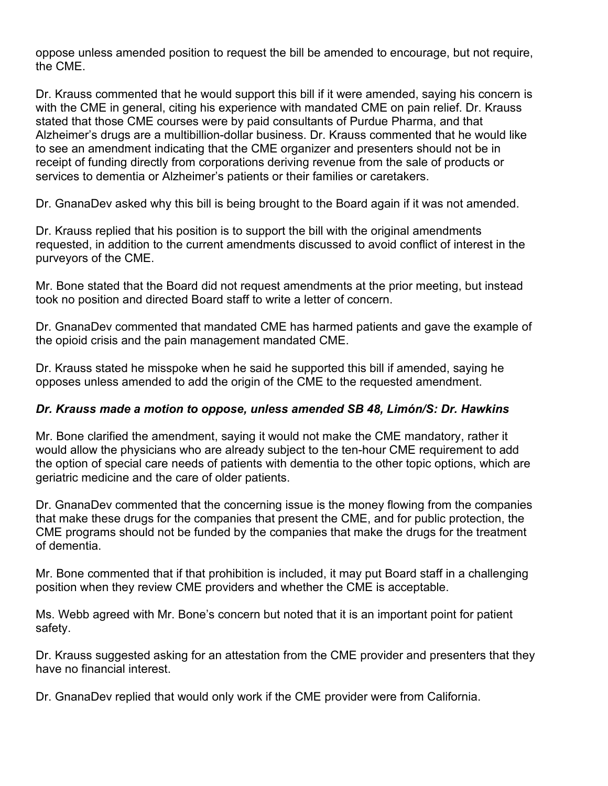oppose unless amended position to request the bill be amended to encourage, but not require, the CME.

Dr. Krauss commented that he would support this bill if it were amended, saying his concern is with the CME in general, citing his experience with mandated CME on pain relief. Dr. Krauss stated that those CME courses were by paid consultants of Purdue Pharma, and that Alzheimer's drugs are a multibillion-dollar business. Dr. Krauss commented that he would like to see an amendment indicating that the CME organizer and presenters should not be in receipt of funding directly from corporations deriving revenue from the sale of products or services to dementia or Alzheimer's patients or their families or caretakers.

Dr. GnanaDev asked why this bill is being brought to the Board again if it was not amended.

Dr. Krauss replied that his position is to support the bill with the original amendments requested, in addition to the current amendments discussed to avoid conflict of interest in the purveyors of the CME.

Mr. Bone stated that the Board did not request amendments at the prior meeting, but instead took no position and directed Board staff to write a letter of concern.

Dr. GnanaDev commented that mandated CME has harmed patients and gave the example of the opioid crisis and the pain management mandated CME.

Dr. Krauss stated he misspoke when he said he supported this bill if amended, saying he opposes unless amended to add the origin of the CME to the requested amendment.

# *Dr. Krauss made a motion to oppose, unless amended SB 48, Limón/S: Dr. Hawkins*

Mr. Bone clarified the amendment, saying it would not make the CME mandatory, rather it would allow the physicians who are already subject to the ten-hour CME requirement to add the option of special care needs of patients with dementia to the other topic options, which are geriatric medicine and the care of older patients.

Dr. GnanaDev commented that the concerning issue is the money flowing from the companies that make these drugs for the companies that present the CME, and for public protection, the CME programs should not be funded by the companies that make the drugs for the treatment of dementia.

Mr. Bone commented that if that prohibition is included, it may put Board staff in a challenging position when they review CME providers and whether the CME is acceptable.

Ms. Webb agreed with Mr. Bone's concern but noted that it is an important point for patient safety.

Dr. Krauss suggested asking for an attestation from the CME provider and presenters that they have no financial interest.

Dr. GnanaDev replied that would only work if the CME provider were from California.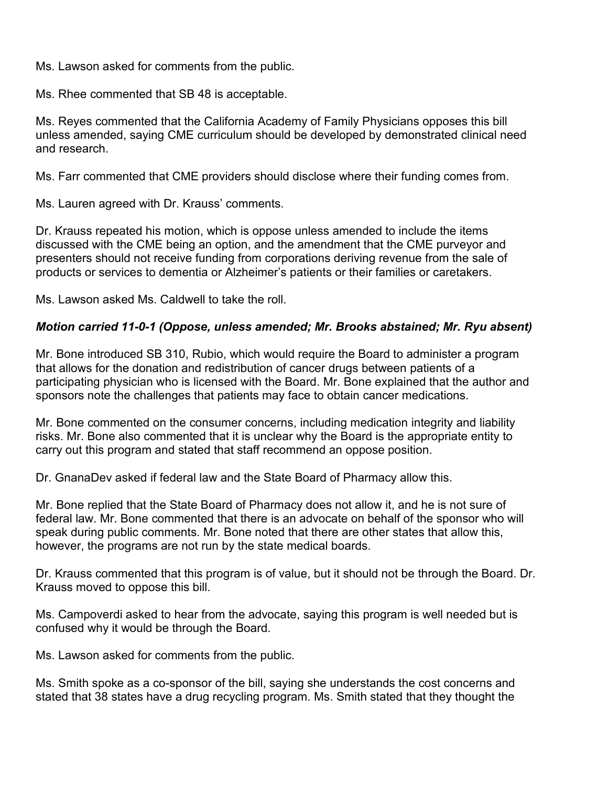Ms. Lawson asked for comments from the public.

Ms. Rhee commented that SB 48 is acceptable.

Ms. Reyes commented that the California Academy of Family Physicians opposes this bill unless amended, saying CME curriculum should be developed by demonstrated clinical need and research.

Ms. Farr commented that CME providers should disclose where their funding comes from.

Ms. Lauren agreed with Dr. Krauss' comments.

Dr. Krauss repeated his motion, which is oppose unless amended to include the items discussed with the CME being an option, and the amendment that the CME purveyor and presenters should not receive funding from corporations deriving revenue from the sale of products or services to dementia or Alzheimer's patients or their families or caretakers.

Ms. Lawson asked Ms. Caldwell to take the roll.

### *Motion carried 11-0-1 (Oppose, unless amended; Mr. Brooks abstained; Mr. Ryu absent)*

Mr. Bone introduced SB 310, Rubio, which would require the Board to administer a program that allows for the donation and redistribution of cancer drugs between patients of a participating physician who is licensed with the Board. Mr. Bone explained that the author and sponsors note the challenges that patients may face to obtain cancer medications.

Mr. Bone commented on the consumer concerns, including medication integrity and liability risks. Mr. Bone also commented that it is unclear why the Board is the appropriate entity to carry out this program and stated that staff recommend an oppose position.

Dr. GnanaDev asked if federal law and the State Board of Pharmacy allow this.

Mr. Bone replied that the State Board of Pharmacy does not allow it, and he is not sure of federal law. Mr. Bone commented that there is an advocate on behalf of the sponsor who will speak during public comments. Mr. Bone noted that there are other states that allow this, however, the programs are not run by the state medical boards.

Dr. Krauss commented that this program is of value, but it should not be through the Board. Dr. Krauss moved to oppose this bill.

Ms. Campoverdi asked to hear from the advocate, saying this program is well needed but is confused why it would be through the Board.

Ms. Lawson asked for comments from the public.

Ms. Smith spoke as a co-sponsor of the bill, saying she understands the cost concerns and stated that 38 states have a drug recycling program. Ms. Smith stated that they thought the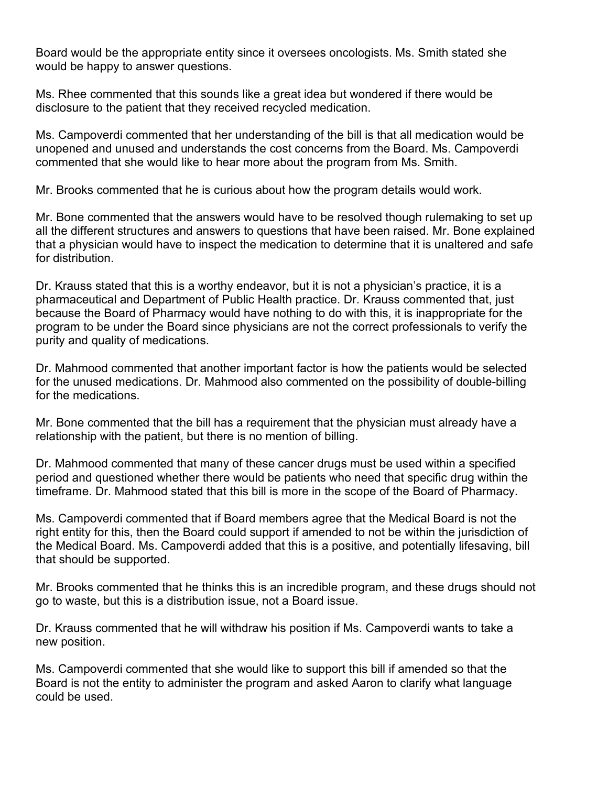Board would be the appropriate entity since it oversees oncologists. Ms. Smith stated she would be happy to answer questions.

Ms. Rhee commented that this sounds like a great idea but wondered if there would be disclosure to the patient that they received recycled medication.

Ms. Campoverdi commented that her understanding of the bill is that all medication would be unopened and unused and understands the cost concerns from the Board. Ms. Campoverdi commented that she would like to hear more about the program from Ms. Smith.

Mr. Brooks commented that he is curious about how the program details would work.

Mr. Bone commented that the answers would have to be resolved though rulemaking to set up all the different structures and answers to questions that have been raised. Mr. Bone explained that a physician would have to inspect the medication to determine that it is unaltered and safe for distribution.

Dr. Krauss stated that this is a worthy endeavor, but it is not a physician's practice, it is a pharmaceutical and Department of Public Health practice. Dr. Krauss commented that, just because the Board of Pharmacy would have nothing to do with this, it is inappropriate for the program to be under the Board since physicians are not the correct professionals to verify the purity and quality of medications.

Dr. Mahmood commented that another important factor is how the patients would be selected for the unused medications. Dr. Mahmood also commented on the possibility of double-billing for the medications.

Mr. Bone commented that the bill has a requirement that the physician must already have a relationship with the patient, but there is no mention of billing.

Dr. Mahmood commented that many of these cancer drugs must be used within a specified period and questioned whether there would be patients who need that specific drug within the timeframe. Dr. Mahmood stated that this bill is more in the scope of the Board of Pharmacy.

Ms. Campoverdi commented that if Board members agree that the Medical Board is not the right entity for this, then the Board could support if amended to not be within the jurisdiction of the Medical Board. Ms. Campoverdi added that this is a positive, and potentially lifesaving, bill that should be supported.

Mr. Brooks commented that he thinks this is an incredible program, and these drugs should not go to waste, but this is a distribution issue, not a Board issue.

Dr. Krauss commented that he will withdraw his position if Ms. Campoverdi wants to take a new position.

Ms. Campoverdi commented that she would like to support this bill if amended so that the Board is not the entity to administer the program and asked Aaron to clarify what language could be used.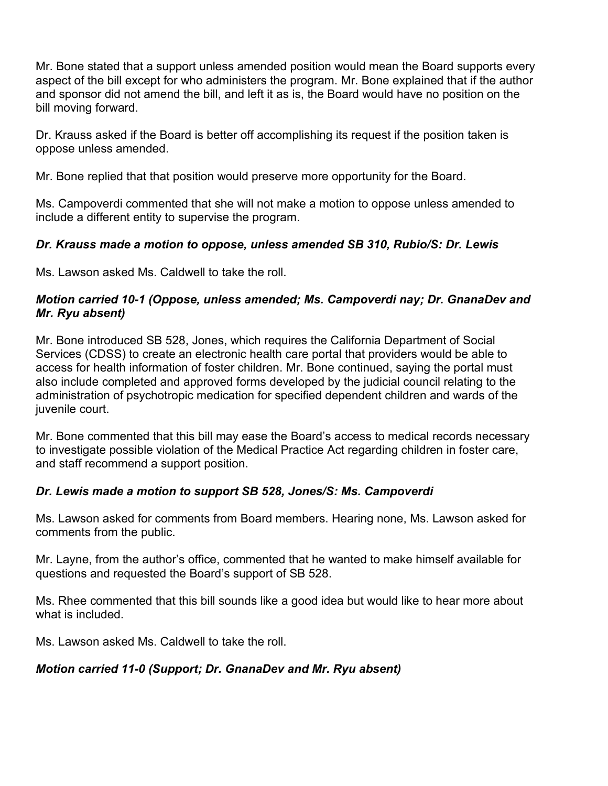Mr. Bone stated that a support unless amended position would mean the Board supports every aspect of the bill except for who administers the program. Mr. Bone explained that if the author and sponsor did not amend the bill, and left it as is, the Board would have no position on the bill moving forward.

Dr. Krauss asked if the Board is better off accomplishing its request if the position taken is oppose unless amended.

Mr. Bone replied that that position would preserve more opportunity for the Board.

Ms. Campoverdi commented that she will not make a motion to oppose unless amended to include a different entity to supervise the program.

# *Dr. Krauss made a motion to oppose, unless amended SB 310, Rubio/S: Dr. Lewis*

Ms. Lawson asked Ms. Caldwell to take the roll.

### *Motion carried 10-1 (Oppose, unless amended; Ms. Campoverdi nay; Dr. GnanaDev and Mr. Ryu absent)*

Mr. Bone introduced SB 528, Jones, which requires the California Department of Social Services (CDSS) to create an electronic health care portal that providers would be able to access for health information of foster children. Mr. Bone continued, saying the portal must also include completed and approved forms developed by the judicial council relating to the administration of psychotropic medication for specified dependent children and wards of the juvenile court.

Mr. Bone commented that this bill may ease the Board's access to medical records necessary to investigate possible violation of the Medical Practice Act regarding children in foster care, and staff recommend a support position.

# *Dr. Lewis made a motion to support SB 528, Jones/S: Ms. Campoverdi*

Ms. Lawson asked for comments from Board members. Hearing none, Ms. Lawson asked for comments from the public.

Mr. Layne, from the author's office, commented that he wanted to make himself available for questions and requested the Board's support of SB 528.

Ms. Rhee commented that this bill sounds like a good idea but would like to hear more about what is included.

Ms. Lawson asked Ms. Caldwell to take the roll.

# *Motion carried 11-0 (Support; Dr. GnanaDev and Mr. Ryu absent)*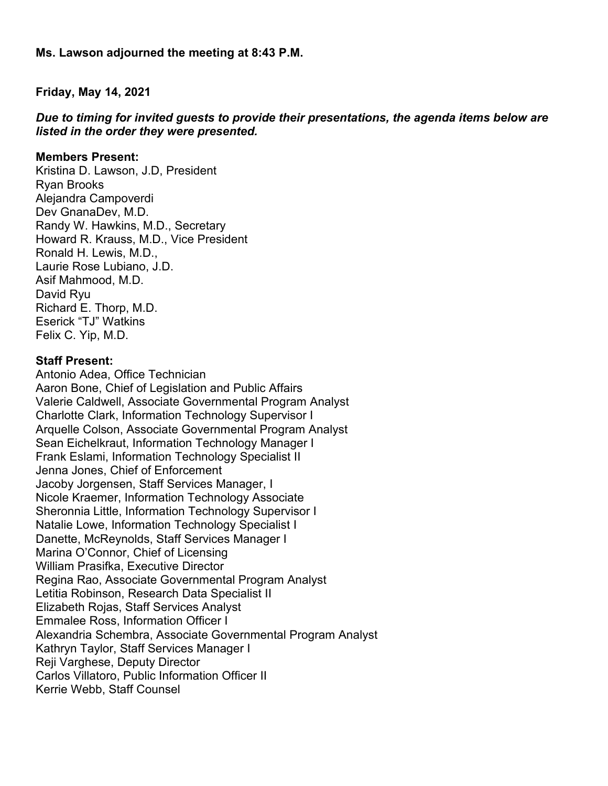**Ms. Lawson adjourned the meeting at 8:43 P.M.** 

**Friday, May 14, 2021** 

*Due to timing for invited guests to provide their presentations, the agenda items below are listed in the order they were presented.* 

#### **Members Present:**

Kristina D. Lawson, J.D, President Ryan Brooks Alejandra Campoverdi Dev GnanaDev, M.D. Randy W. Hawkins, M.D., Secretary Howard R. Krauss, M.D., Vice President Ronald H. Lewis, M.D., Laurie Rose Lubiano, J.D. Asif Mahmood, M.D. David Ryu Richard E. Thorp, M.D. Eserick "TJ" Watkins Felix C. Yip, M.D.

#### **Staff Present:**

Antonio Adea, Office Technician Aaron Bone, Chief of Legislation and Public Affairs Valerie Caldwell, Associate Governmental Program Analyst Charlotte Clark, Information Technology Supervisor I Arquelle Colson, Associate Governmental Program Analyst Sean Eichelkraut, Information Technology Manager I Frank Eslami, Information Technology Specialist II Jenna Jones, Chief of Enforcement Jacoby Jorgensen, Staff Services Manager, I Nicole Kraemer, Information Technology Associate Sheronnia Little, Information Technology Supervisor I Natalie Lowe, Information Technology Specialist I Danette, McReynolds, Staff Services Manager I Marina O'Connor, Chief of Licensing William Prasifka, Executive Director Regina Rao, Associate Governmental Program Analyst Letitia Robinson, Research Data Specialist II Elizabeth Rojas, Staff Services Analyst Emmalee Ross, Information Officer I Alexandria Schembra, Associate Governmental Program Analyst Kathryn Taylor, Staff Services Manager I Reii Varghese, Deputy Director Carlos Villatoro, Public Information Officer II Kerrie Webb, Staff Counsel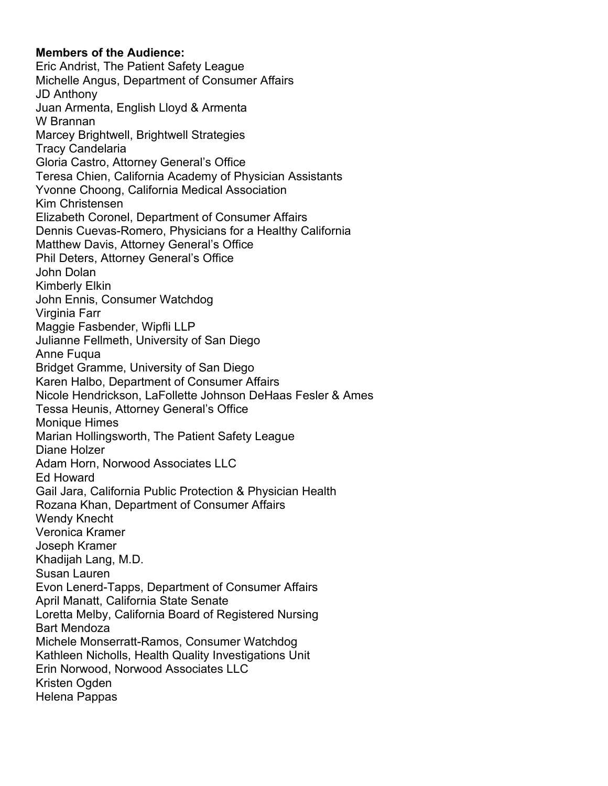#### **Members of the Audience:**

Eric Andrist, The Patient Safety League Michelle Angus, Department of Consumer Affairs JD Anthony Juan Armenta, English Lloyd & Armenta W Brannan Marcey Brightwell, Brightwell Strategies Tracy Candelaria Gloria Castro, Attorney General's Office Teresa Chien, California Academy of Physician Assistants Yvonne Choong, California Medical Association Kim Christensen Elizabeth Coronel, Department of Consumer Affairs Dennis Cuevas-Romero, Physicians for a Healthy California Matthew Davis, Attorney General's Office Phil Deters, Attorney General's Office John Dolan Kimberly Elkin John Ennis, Consumer Watchdog Virginia Farr Maggie Fasbender, Wipfli LLP Julianne Fellmeth, University of San Diego Anne Fuqua Bridget Gramme, University of San Diego Karen Halbo, Department of Consumer Affairs Nicole Hendrickson, LaFollette Johnson DeHaas Fesler & Ames Tessa Heunis, Attorney General's Office Monique Himes Marian Hollingsworth, The Patient Safety League Diane Holzer Adam Horn, Norwood Associates LLC Ed Howard Gail Jara, California Public Protection & Physician Health Rozana Khan, Department of Consumer Affairs Wendy Knecht Veronica Kramer Joseph Kramer Khadijah Lang, M.D. Susan Lauren Evon Lenerd-Tapps, Department of Consumer Affairs April Manatt, California State Senate Loretta Melby, California Board of Registered Nursing Bart Mendoza Michele Monserratt-Ramos, Consumer Watchdog Kathleen Nicholls, Health Quality Investigations Unit Erin Norwood, Norwood Associates LLC Kristen Ogden Helena Pappas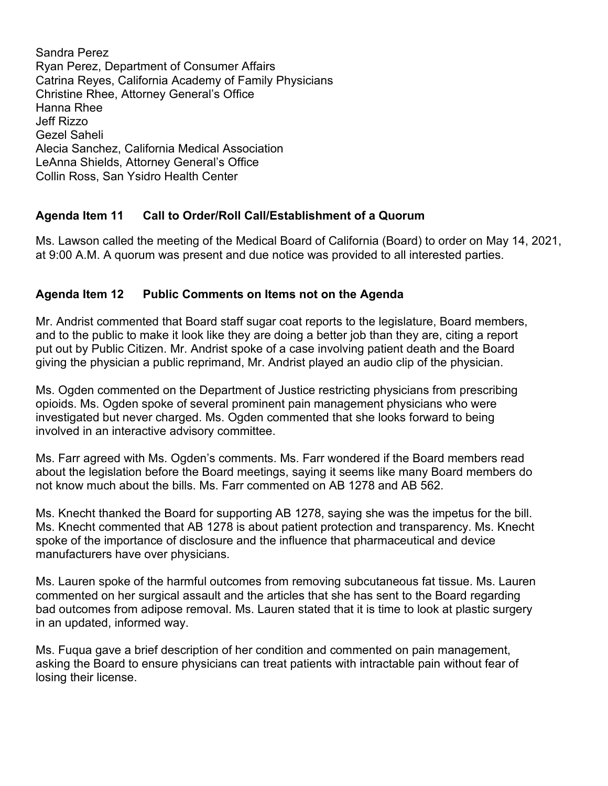Sandra Perez Ryan Perez, Department of Consumer Affairs Catrina Reyes, California Academy of Family Physicians Christine Rhee, Attorney General's Office Hanna Rhee Jeff Rizzo Gezel Saheli Alecia Sanchez, California Medical Association LeAnna Shields, Attorney General's Office Collin Ross, San Ysidro Health Center

# **Agenda Item 11 Call to Order/Roll Call/Establishment of a Quorum**

Ms. Lawson called the meeting of the Medical Board of California (Board) to order on May 14, 2021, at 9:00 A.M. A quorum was present and due notice was provided to all interested parties.

# **Agenda Item 12 Public Comments on Items not on the Agenda**

Mr. Andrist commented that Board staff sugar coat reports to the legislature, Board members, and to the public to make it look like they are doing a better job than they are, citing a report put out by Public Citizen. Mr. Andrist spoke of a case involving patient death and the Board giving the physician a public reprimand, Mr. Andrist played an audio clip of the physician.

Ms. Ogden commented on the Department of Justice restricting physicians from prescribing opioids. Ms. Ogden spoke of several prominent pain management physicians who were investigated but never charged. Ms. Ogden commented that she looks forward to being involved in an interactive advisory committee.

Ms. Farr agreed with Ms. Ogden's comments. Ms. Farr wondered if the Board members read about the legislation before the Board meetings, saying it seems like many Board members do not know much about the bills. Ms. Farr commented on AB 1278 and AB 562.

Ms. Knecht thanked the Board for supporting AB 1278, saying she was the impetus for the bill. Ms. Knecht commented that AB 1278 is about patient protection and transparency. Ms. Knecht spoke of the importance of disclosure and the influence that pharmaceutical and device manufacturers have over physicians.

Ms. Lauren spoke of the harmful outcomes from removing subcutaneous fat tissue. Ms. Lauren commented on her surgical assault and the articles that she has sent to the Board regarding bad outcomes from adipose removal. Ms. Lauren stated that it is time to look at plastic surgery in an updated, informed way.

Ms. Fuqua gave a brief description of her condition and commented on pain management, asking the Board to ensure physicians can treat patients with intractable pain without fear of losing their license.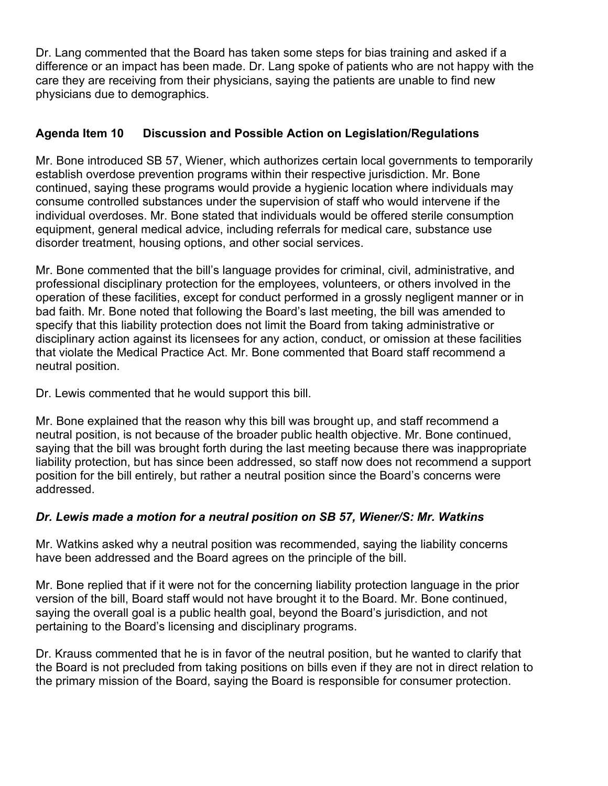Dr. Lang commented that the Board has taken some steps for bias training and asked if a difference or an impact has been made. Dr. Lang spoke of patients who are not happy with the care they are receiving from their physicians, saying the patients are unable to find new physicians due to demographics.

# **Agenda Item 10 Discussion and Possible Action on Legislation/Regulations**

Mr. Bone introduced SB 57, Wiener, which authorizes certain local governments to temporarily establish overdose prevention programs within their respective jurisdiction. Mr. Bone continued, saying these programs would provide a hygienic location where individuals may consume controlled substances under the supervision of staff who would intervene if the individual overdoses. Mr. Bone stated that individuals would be offered sterile consumption equipment, general medical advice, including referrals for medical care, substance use disorder treatment, housing options, and other social services.

Mr. Bone commented that the bill's language provides for criminal, civil, administrative, and professional disciplinary protection for the employees, volunteers, or others involved in the operation of these facilities, except for conduct performed in a grossly negligent manner or in bad faith. Mr. Bone noted that following the Board's last meeting, the bill was amended to specify that this liability protection does not limit the Board from taking administrative or disciplinary action against its licensees for any action, conduct, or omission at these facilities that violate the Medical Practice Act. Mr. Bone commented that Board staff recommend a neutral position.

Dr. Lewis commented that he would support this bill.

Mr. Bone explained that the reason why this bill was brought up, and staff recommend a neutral position, is not because of the broader public health objective. Mr. Bone continued, saying that the bill was brought forth during the last meeting because there was inappropriate liability protection, but has since been addressed, so staff now does not recommend a support position for the bill entirely, but rather a neutral position since the Board's concerns were addressed.

# *Dr. Lewis made a motion for a neutral position on SB 57, Wiener/S: Mr. Watkins*

Mr. Watkins asked why a neutral position was recommended, saying the liability concerns have been addressed and the Board agrees on the principle of the bill.

Mr. Bone replied that if it were not for the concerning liability protection language in the prior version of the bill, Board staff would not have brought it to the Board. Mr. Bone continued, saying the overall goal is a public health goal, beyond the Board's jurisdiction, and not pertaining to the Board's licensing and disciplinary programs.

Dr. Krauss commented that he is in favor of the neutral position, but he wanted to clarify that the Board is not precluded from taking positions on bills even if they are not in direct relation to the primary mission of the Board, saying the Board is responsible for consumer protection.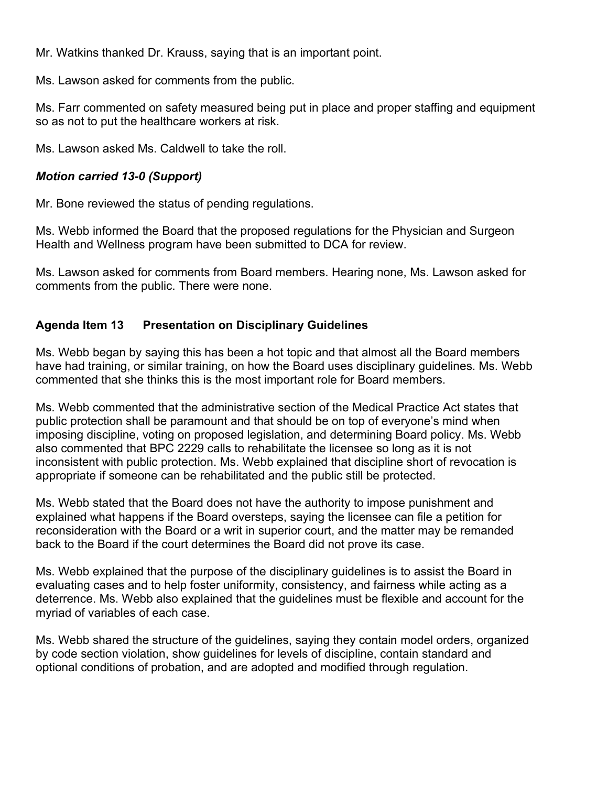Mr. Watkins thanked Dr. Krauss, saying that is an important point.

Ms. Lawson asked for comments from the public.

Ms. Farr commented on safety measured being put in place and proper staffing and equipment so as not to put the healthcare workers at risk.

Ms. Lawson asked Ms. Caldwell to take the roll.

# *Motion carried 13-0 (Support)*

Mr. Bone reviewed the status of pending regulations.

Ms. Webb informed the Board that the proposed regulations for the Physician and Surgeon Health and Wellness program have been submitted to DCA for review.

Ms. Lawson asked for comments from Board members. Hearing none, Ms. Lawson asked for comments from the public. There were none.

# **Agenda Item 13 Presentation on Disciplinary Guidelines**

Ms. Webb began by saying this has been a hot topic and that almost all the Board members have had training, or similar training, on how the Board uses disciplinary guidelines. Ms. Webb commented that she thinks this is the most important role for Board members.

Ms. Webb commented that the administrative section of the Medical Practice Act states that public protection shall be paramount and that should be on top of everyone's mind when imposing discipline, voting on proposed legislation, and determining Board policy. Ms. Webb also commented that BPC 2229 calls to rehabilitate the licensee so long as it is not inconsistent with public protection. Ms. Webb explained that discipline short of revocation is appropriate if someone can be rehabilitated and the public still be protected.

Ms. Webb stated that the Board does not have the authority to impose punishment and explained what happens if the Board oversteps, saying the licensee can file a petition for reconsideration with the Board or a writ in superior court, and the matter may be remanded back to the Board if the court determines the Board did not prove its case.

Ms. Webb explained that the purpose of the disciplinary guidelines is to assist the Board in evaluating cases and to help foster uniformity, consistency, and fairness while acting as a deterrence. Ms. Webb also explained that the guidelines must be flexible and account for the myriad of variables of each case.

Ms. Webb shared the structure of the guidelines, saying they contain model orders, organized by code section violation, show guidelines for levels of discipline, contain standard and optional conditions of probation, and are adopted and modified through regulation.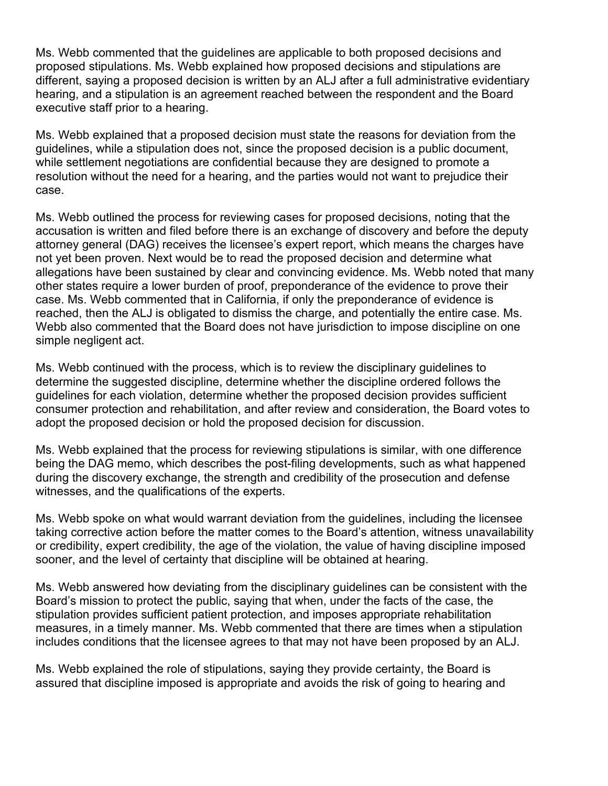Ms. Webb commented that the guidelines are applicable to both proposed decisions and proposed stipulations. Ms. Webb explained how proposed decisions and stipulations are different, saying a proposed decision is written by an ALJ after a full administrative evidentiary hearing, and a stipulation is an agreement reached between the respondent and the Board executive staff prior to a hearing.

Ms. Webb explained that a proposed decision must state the reasons for deviation from the guidelines, while a stipulation does not, since the proposed decision is a public document, while settlement negotiations are confidential because they are designed to promote a resolution without the need for a hearing, and the parties would not want to prejudice their case.

Ms. Webb outlined the process for reviewing cases for proposed decisions, noting that the accusation is written and filed before there is an exchange of discovery and before the deputy attorney general (DAG) receives the licensee's expert report, which means the charges have not yet been proven. Next would be to read the proposed decision and determine what allegations have been sustained by clear and convincing evidence. Ms. Webb noted that many other states require a lower burden of proof, preponderance of the evidence to prove their case. Ms. Webb commented that in California, if only the preponderance of evidence is reached, then the ALJ is obligated to dismiss the charge, and potentially the entire case. Ms. Webb also commented that the Board does not have jurisdiction to impose discipline on one simple negligent act.

Ms. Webb continued with the process, which is to review the disciplinary guidelines to determine the suggested discipline, determine whether the discipline ordered follows the guidelines for each violation, determine whether the proposed decision provides sufficient consumer protection and rehabilitation, and after review and consideration, the Board votes to adopt the proposed decision or hold the proposed decision for discussion.

Ms. Webb explained that the process for reviewing stipulations is similar, with one difference being the DAG memo, which describes the post-filing developments, such as what happened during the discovery exchange, the strength and credibility of the prosecution and defense witnesses, and the qualifications of the experts.

Ms. Webb spoke on what would warrant deviation from the guidelines, including the licensee taking corrective action before the matter comes to the Board's attention, witness unavailability or credibility, expert credibility, the age of the violation, the value of having discipline imposed sooner, and the level of certainty that discipline will be obtained at hearing.

Ms. Webb answered how deviating from the disciplinary guidelines can be consistent with the Board's mission to protect the public, saying that when, under the facts of the case, the stipulation provides sufficient patient protection, and imposes appropriate rehabilitation measures, in a timely manner. Ms. Webb commented that there are times when a stipulation includes conditions that the licensee agrees to that may not have been proposed by an ALJ.

Ms. Webb explained the role of stipulations, saying they provide certainty, the Board is assured that discipline imposed is appropriate and avoids the risk of going to hearing and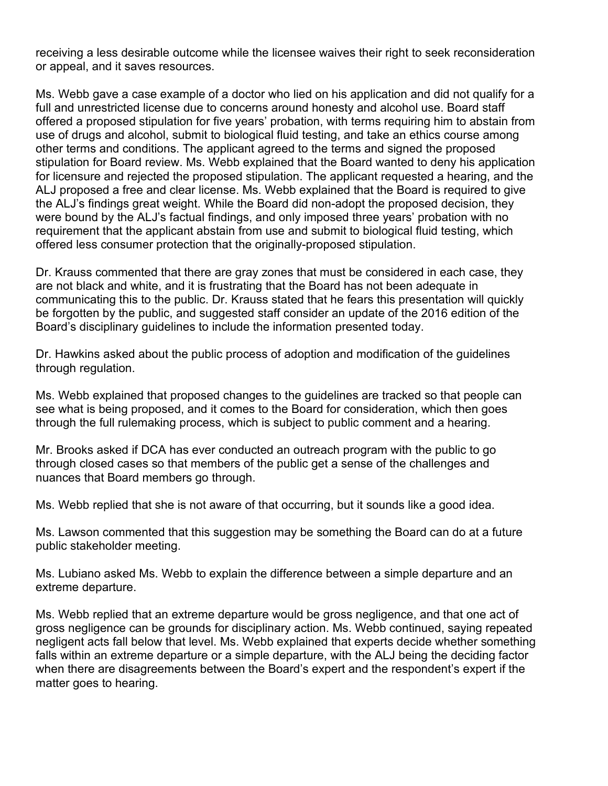receiving a less desirable outcome while the licensee waives their right to seek reconsideration or appeal, and it saves resources.

Ms. Webb gave a case example of a doctor who lied on his application and did not qualify for a full and unrestricted license due to concerns around honesty and alcohol use. Board staff offered a proposed stipulation for five years' probation, with terms requiring him to abstain from use of drugs and alcohol, submit to biological fluid testing, and take an ethics course among other terms and conditions. The applicant agreed to the terms and signed the proposed stipulation for Board review. Ms. Webb explained that the Board wanted to deny his application for licensure and rejected the proposed stipulation. The applicant requested a hearing, and the ALJ proposed a free and clear license. Ms. Webb explained that the Board is required to give the ALJ's findings great weight. While the Board did non-adopt the proposed decision, they were bound by the ALJ's factual findings, and only imposed three years' probation with no requirement that the applicant abstain from use and submit to biological fluid testing, which offered less consumer protection that the originally-proposed stipulation.

Dr. Krauss commented that there are gray zones that must be considered in each case, they are not black and white, and it is frustrating that the Board has not been adequate in communicating this to the public. Dr. Krauss stated that he fears this presentation will quickly be forgotten by the public, and suggested staff consider an update of the 2016 edition of the Board's disciplinary guidelines to include the information presented today.

Dr. Hawkins asked about the public process of adoption and modification of the guidelines through regulation.

Ms. Webb explained that proposed changes to the guidelines are tracked so that people can see what is being proposed, and it comes to the Board for consideration, which then goes through the full rulemaking process, which is subject to public comment and a hearing.

Mr. Brooks asked if DCA has ever conducted an outreach program with the public to go through closed cases so that members of the public get a sense of the challenges and nuances that Board members go through.

Ms. Webb replied that she is not aware of that occurring, but it sounds like a good idea.

Ms. Lawson commented that this suggestion may be something the Board can do at a future public stakeholder meeting.

Ms. Lubiano asked Ms. Webb to explain the difference between a simple departure and an extreme departure.

Ms. Webb replied that an extreme departure would be gross negligence, and that one act of gross negligence can be grounds for disciplinary action. Ms. Webb continued, saying repeated negligent acts fall below that level. Ms. Webb explained that experts decide whether something falls within an extreme departure or a simple departure, with the ALJ being the deciding factor when there are disagreements between the Board's expert and the respondent's expert if the matter goes to hearing.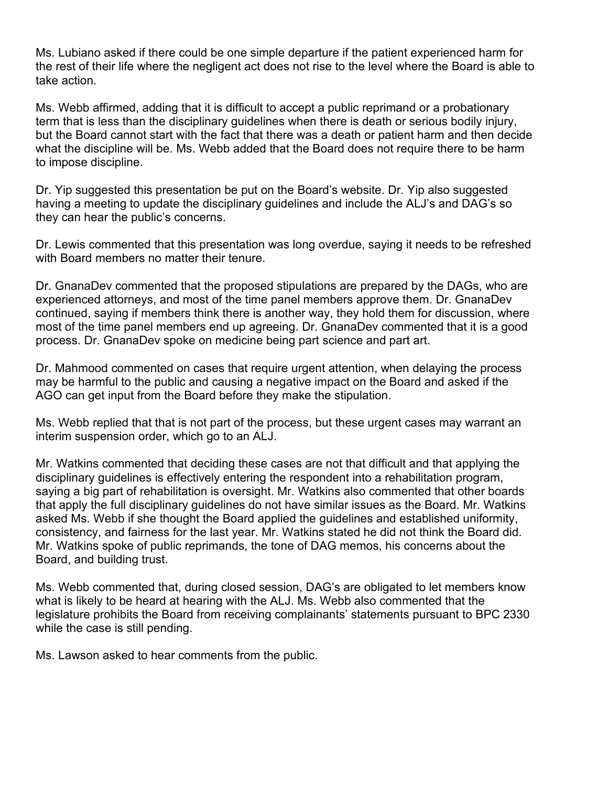Ms. Lubiano asked if there could be one simple departure if the patient experienced harm for the rest of their life where the negligent act does not rise to the level where the Board is able to take action.

Ms. Webb affirmed, adding that it is difficult to accept a public reprimand or a probationary term that is less than the disciplinary guidelines when there is death or serious bodily injury, but the Board cannot start with the fact that there was a death or patient harm and then decide what the discipline will be. Ms. Webb added that the Board does not require there to be harm to impose discipline.

Dr. Yip suggested this presentation be put on the Board's website. Dr. Yip also suggested having a meeting to update the disciplinary guidelines and include the ALJ's and DAG's so they can hear the public's concerns.

Dr. Lewis commented that this presentation was long overdue, saying it needs to be refreshed with Board members no matter their tenure.

Dr. GnanaDev commented that the proposed stipulations are prepared by the DAGs, who are experienced attorneys, and most of the time panel members approve them. Dr. GnanaDev continued, saying if members think there is another way, they hold them for discussion, where most of the time panel members end up agreeing. Dr. GnanaDev commented that it is a good process. Dr. GnanaDev spoke on medicine being part science and part art.

Dr. Mahmood commented on cases that require urgent attention, when delaying the process may be harmful to the public and causing a negative impact on the Board and asked if the AGO can get input from the Board before they make the stipulation.

Ms. Webb replied that that is not part of the process, but these urgent cases may warrant an interim suspension order, which go to an ALJ.

Mr. Watkins commented that deciding these cases are not that difficult and that applying the disciplinary guidelines is effectively entering the respondent into a rehabilitation program, saying a big part of rehabilitation is oversight. Mr. Watkins also commented that other boards that apply the full disciplinary guidelines do not have similar issues as the Board. Mr. Watkins asked Ms. Webb if she thought the Board applied the guidelines and established uniformity, consistency, and fairness for the last year. Mr. Watkins stated he did not think the Board did. Mr. Watkins spoke of public reprimands, the tone of DAG memos, his concerns about the Board, and building trust.

Ms. Webb commented that, during closed session, DAG's are obligated to let members know what is likely to be heard at hearing with the ALJ. Ms. Webb also commented that the legislature prohibits the Board from receiving complainants' statements pursuant to BPC 2330 while the case is still pending.

Ms. Lawson asked to hear comments from the public.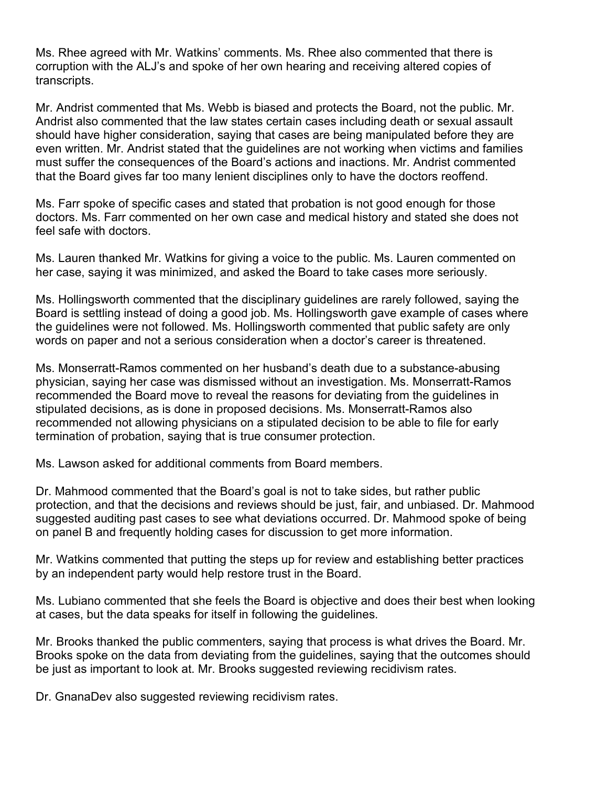Ms. Rhee agreed with Mr. Watkins' comments. Ms. Rhee also commented that there is corruption with the ALJ's and spoke of her own hearing and receiving altered copies of transcripts.

Mr. Andrist commented that Ms. Webb is biased and protects the Board, not the public. Mr. Andrist also commented that the law states certain cases including death or sexual assault should have higher consideration, saying that cases are being manipulated before they are even written. Mr. Andrist stated that the guidelines are not working when victims and families must suffer the consequences of the Board's actions and inactions. Mr. Andrist commented that the Board gives far too many lenient disciplines only to have the doctors reoffend.

Ms. Farr spoke of specific cases and stated that probation is not good enough for those doctors. Ms. Farr commented on her own case and medical history and stated she does not feel safe with doctors.

Ms. Lauren thanked Mr. Watkins for giving a voice to the public. Ms. Lauren commented on her case, saying it was minimized, and asked the Board to take cases more seriously.

Ms. Hollingsworth commented that the disciplinary guidelines are rarely followed, saying the Board is settling instead of doing a good job. Ms. Hollingsworth gave example of cases where the guidelines were not followed. Ms. Hollingsworth commented that public safety are only words on paper and not a serious consideration when a doctor's career is threatened.

Ms. Monserratt-Ramos commented on her husband's death due to a substance-abusing physician, saying her case was dismissed without an investigation. Ms. Monserratt-Ramos recommended the Board move to reveal the reasons for deviating from the guidelines in stipulated decisions, as is done in proposed decisions. Ms. Monserratt-Ramos also recommended not allowing physicians on a stipulated decision to be able to file for early termination of probation, saying that is true consumer protection.

Ms. Lawson asked for additional comments from Board members.

Dr. Mahmood commented that the Board's goal is not to take sides, but rather public protection, and that the decisions and reviews should be just, fair, and unbiased. Dr. Mahmood suggested auditing past cases to see what deviations occurred. Dr. Mahmood spoke of being on panel B and frequently holding cases for discussion to get more information.

Mr. Watkins commented that putting the steps up for review and establishing better practices by an independent party would help restore trust in the Board.

Ms. Lubiano commented that she feels the Board is objective and does their best when looking at cases, but the data speaks for itself in following the guidelines.

Mr. Brooks thanked the public commenters, saying that process is what drives the Board. Mr. Brooks spoke on the data from deviating from the guidelines, saying that the outcomes should be just as important to look at. Mr. Brooks suggested reviewing recidivism rates.

Dr. GnanaDev also suggested reviewing recidivism rates.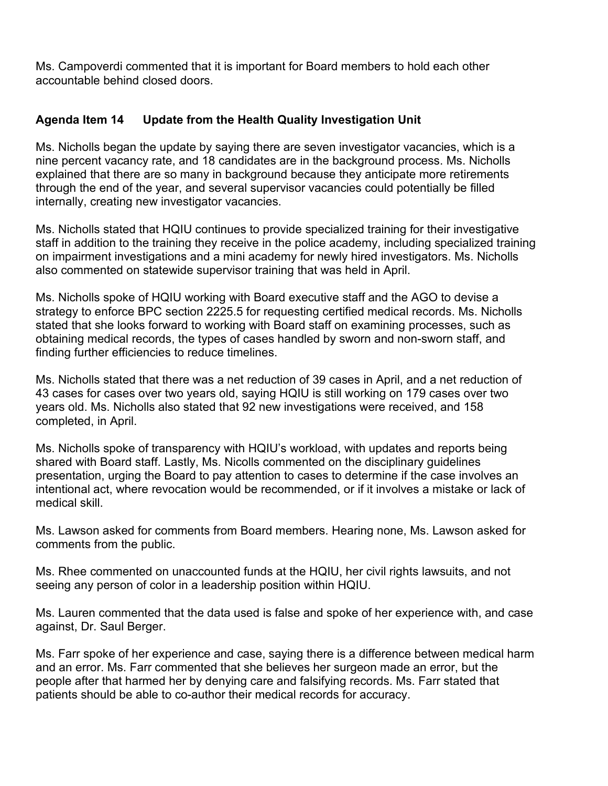Ms. Campoverdi commented that it is important for Board members to hold each other accountable behind closed doors.

# **Agenda Item 14 Update from the Health Quality Investigation Unit**

Ms. Nicholls began the update by saying there are seven investigator vacancies, which is a nine percent vacancy rate, and 18 candidates are in the background process. Ms. Nicholls explained that there are so many in background because they anticipate more retirements through the end of the year, and several supervisor vacancies could potentially be filled internally, creating new investigator vacancies.

Ms. Nicholls stated that HQIU continues to provide specialized training for their investigative staff in addition to the training they receive in the police academy, including specialized training on impairment investigations and a mini academy for newly hired investigators. Ms. Nicholls also commented on statewide supervisor training that was held in April.

Ms. Nicholls spoke of HQIU working with Board executive staff and the AGO to devise a strategy to enforce BPC section 2225.5 for requesting certified medical records. Ms. Nicholls stated that she looks forward to working with Board staff on examining processes, such as obtaining medical records, the types of cases handled by sworn and non-sworn staff, and finding further efficiencies to reduce timelines.

Ms. Nicholls stated that there was a net reduction of 39 cases in April, and a net reduction of 43 cases for cases over two years old, saying HQIU is still working on 179 cases over two years old. Ms. Nicholls also stated that 92 new investigations were received, and 158 completed, in April.

Ms. Nicholls spoke of transparency with HQIU's workload, with updates and reports being shared with Board staff. Lastly, Ms. Nicolls commented on the disciplinary guidelines presentation, urging the Board to pay attention to cases to determine if the case involves an intentional act, where revocation would be recommended, or if it involves a mistake or lack of medical skill.

Ms. Lawson asked for comments from Board members. Hearing none, Ms. Lawson asked for comments from the public.

Ms. Rhee commented on unaccounted funds at the HQIU, her civil rights lawsuits, and not seeing any person of color in a leadership position within HQIU.

Ms. Lauren commented that the data used is false and spoke of her experience with, and case against, Dr. Saul Berger.

Ms. Farr spoke of her experience and case, saying there is a difference between medical harm and an error. Ms. Farr commented that she believes her surgeon made an error, but the people after that harmed her by denying care and falsifying records. Ms. Farr stated that patients should be able to co-author their medical records for accuracy.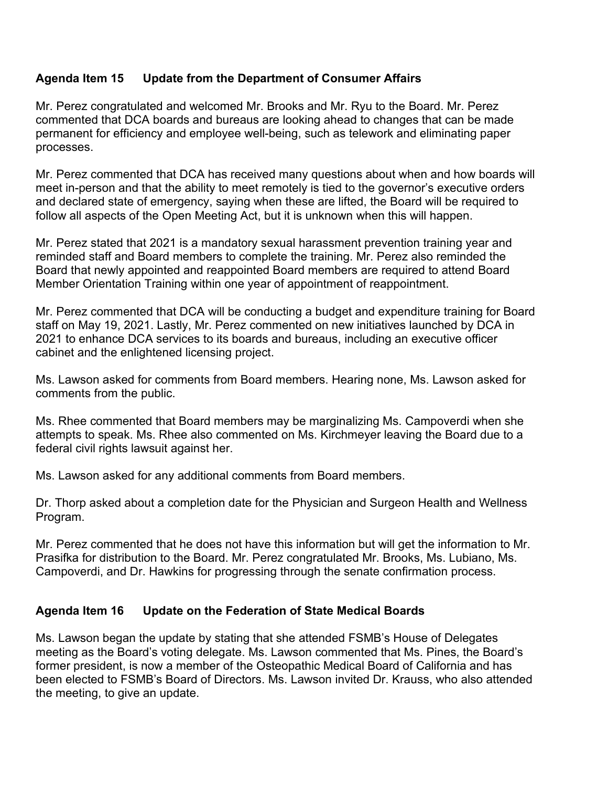# **Agenda Item 15 Update from the Department of Consumer Affairs**

Mr. Perez congratulated and welcomed Mr. Brooks and Mr. Ryu to the Board. Mr. Perez commented that DCA boards and bureaus are looking ahead to changes that can be made permanent for efficiency and employee well-being, such as telework and eliminating paper processes.

Mr. Perez commented that DCA has received many questions about when and how boards will meet in-person and that the ability to meet remotely is tied to the governor's executive orders and declared state of emergency, saying when these are lifted, the Board will be required to follow all aspects of the Open Meeting Act, but it is unknown when this will happen.

Mr. Perez stated that 2021 is a mandatory sexual harassment prevention training year and reminded staff and Board members to complete the training. Mr. Perez also reminded the Board that newly appointed and reappointed Board members are required to attend Board Member Orientation Training within one year of appointment of reappointment.

Mr. Perez commented that DCA will be conducting a budget and expenditure training for Board staff on May 19, 2021. Lastly, Mr. Perez commented on new initiatives launched by DCA in 2021 to enhance DCA services to its boards and bureaus, including an executive officer cabinet and the enlightened licensing project.

Ms. Lawson asked for comments from Board members. Hearing none, Ms. Lawson asked for comments from the public.

Ms. Rhee commented that Board members may be marginalizing Ms. Campoverdi when she attempts to speak. Ms. Rhee also commented on Ms. Kirchmeyer leaving the Board due to a federal civil rights lawsuit against her.

Ms. Lawson asked for any additional comments from Board members.

Dr. Thorp asked about a completion date for the Physician and Surgeon Health and Wellness Program.

Mr. Perez commented that he does not have this information but will get the information to Mr. Prasifka for distribution to the Board. Mr. Perez congratulated Mr. Brooks, Ms. Lubiano, Ms. Campoverdi, and Dr. Hawkins for progressing through the senate confirmation process.

#### **Agenda Item 16 Update on the Federation of State Medical Boards**

Ms. Lawson began the update by stating that she attended FSMB's House of Delegates meeting as the Board's voting delegate. Ms. Lawson commented that Ms. Pines, the Board's former president, is now a member of the Osteopathic Medical Board of California and has been elected to FSMB's Board of Directors. Ms. Lawson invited Dr. Krauss, who also attended the meeting, to give an update.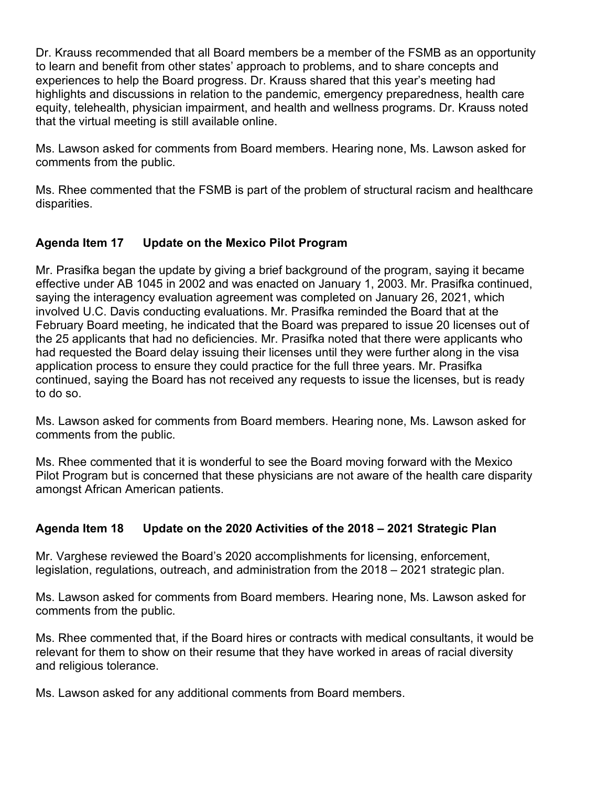Dr. Krauss recommended that all Board members be a member of the FSMB as an opportunity to learn and benefit from other states' approach to problems, and to share concepts and experiences to help the Board progress. Dr. Krauss shared that this year's meeting had highlights and discussions in relation to the pandemic, emergency preparedness, health care equity, telehealth, physician impairment, and health and wellness programs. Dr. Krauss noted that the virtual meeting is still available online.

Ms. Lawson asked for comments from Board members. Hearing none, Ms. Lawson asked for comments from the public.

Ms. Rhee commented that the FSMB is part of the problem of structural racism and healthcare disparities.

# **Agenda Item 17 Update on the Mexico Pilot Program**

Mr. Prasifka began the update by giving a brief background of the program, saying it became effective under AB 1045 in 2002 and was enacted on January 1, 2003. Mr. Prasifka continued, saying the interagency evaluation agreement was completed on January 26, 2021, which involved U.C. Davis conducting evaluations. Mr. Prasifka reminded the Board that at the February Board meeting, he indicated that the Board was prepared to issue 20 licenses out of the 25 applicants that had no deficiencies. Mr. Prasifka noted that there were applicants who had requested the Board delay issuing their licenses until they were further along in the visa application process to ensure they could practice for the full three years. Mr. Prasifka continued, saying the Board has not received any requests to issue the licenses, but is ready to do so.

Ms. Lawson asked for comments from Board members. Hearing none, Ms. Lawson asked for comments from the public.

Ms. Rhee commented that it is wonderful to see the Board moving forward with the Mexico Pilot Program but is concerned that these physicians are not aware of the health care disparity amongst African American patients.

# **Agenda Item 18 Update on the 2020 Activities of the 2018 – 2021 Strategic Plan**

Mr. Varghese reviewed the Board's 2020 accomplishments for licensing, enforcement, legislation, regulations, outreach, and administration from the 2018 – 2021 strategic plan.

Ms. Lawson asked for comments from Board members. Hearing none, Ms. Lawson asked for comments from the public.

Ms. Rhee commented that, if the Board hires or contracts with medical consultants, it would be relevant for them to show on their resume that they have worked in areas of racial diversity and religious tolerance.

Ms. Lawson asked for any additional comments from Board members.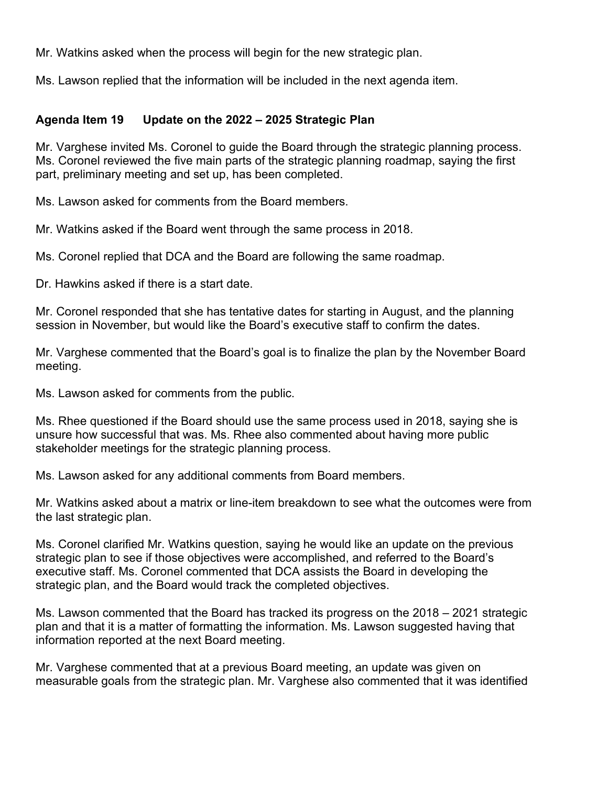Mr. Watkins asked when the process will begin for the new strategic plan.

Ms. Lawson replied that the information will be included in the next agenda item.

### **Agenda Item 19 Update on the 2022 – 2025 Strategic Plan**

Mr. Varghese invited Ms. Coronel to guide the Board through the strategic planning process. Ms. Coronel reviewed the five main parts of the strategic planning roadmap, saying the first part, preliminary meeting and set up, has been completed.

Ms. Lawson asked for comments from the Board members.

Mr. Watkins asked if the Board went through the same process in 2018.

Ms. Coronel replied that DCA and the Board are following the same roadmap.

Dr. Hawkins asked if there is a start date.

Mr. Coronel responded that she has tentative dates for starting in August, and the planning session in November, but would like the Board's executive staff to confirm the dates.

Mr. Varghese commented that the Board's goal is to finalize the plan by the November Board meeting.

Ms. Lawson asked for comments from the public.

Ms. Rhee questioned if the Board should use the same process used in 2018, saying she is unsure how successful that was. Ms. Rhee also commented about having more public stakeholder meetings for the strategic planning process.

Ms. Lawson asked for any additional comments from Board members.

Mr. Watkins asked about a matrix or line-item breakdown to see what the outcomes were from the last strategic plan.

Ms. Coronel clarified Mr. Watkins question, saying he would like an update on the previous strategic plan to see if those objectives were accomplished, and referred to the Board's executive staff. Ms. Coronel commented that DCA assists the Board in developing the strategic plan, and the Board would track the completed objectives.

Ms. Lawson commented that the Board has tracked its progress on the 2018 – 2021 strategic plan and that it is a matter of formatting the information. Ms. Lawson suggested having that information reported at the next Board meeting.

Mr. Varghese commented that at a previous Board meeting, an update was given on measurable goals from the strategic plan. Mr. Varghese also commented that it was identified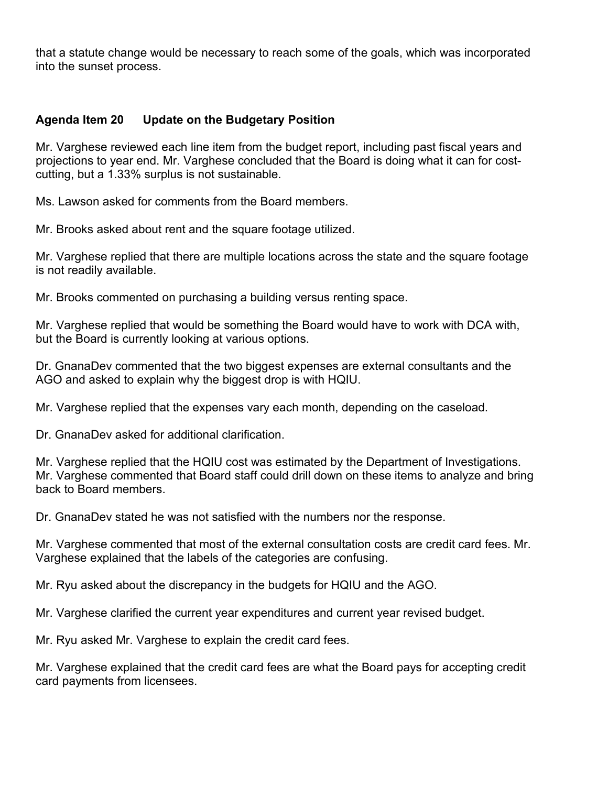that a statute change would be necessary to reach some of the goals, which was incorporated into the sunset process.

### **Agenda Item 20 Update on the Budgetary Position**

Mr. Varghese reviewed each line item from the budget report, including past fiscal years and projections to year end. Mr. Varghese concluded that the Board is doing what it can for costcutting, but a 1.33% surplus is not sustainable.

Ms. Lawson asked for comments from the Board members.

Mr. Brooks asked about rent and the square footage utilized.

Mr. Varghese replied that there are multiple locations across the state and the square footage is not readily available.

Mr. Brooks commented on purchasing a building versus renting space.

Mr. Varghese replied that would be something the Board would have to work with DCA with, but the Board is currently looking at various options.

Dr. GnanaDev commented that the two biggest expenses are external consultants and the AGO and asked to explain why the biggest drop is with HQIU.

Mr. Varghese replied that the expenses vary each month, depending on the caseload.

Dr. GnanaDev asked for additional clarification.

Mr. Varghese replied that the HQIU cost was estimated by the Department of Investigations. Mr. Varghese commented that Board staff could drill down on these items to analyze and bring back to Board members.

Dr. GnanaDev stated he was not satisfied with the numbers nor the response.

Mr. Varghese commented that most of the external consultation costs are credit card fees. Mr. Varghese explained that the labels of the categories are confusing.

Mr. Ryu asked about the discrepancy in the budgets for HQIU and the AGO.

Mr. Varghese clarified the current year expenditures and current year revised budget.

Mr. Ryu asked Mr. Varghese to explain the credit card fees.

Mr. Varghese explained that the credit card fees are what the Board pays for accepting credit card payments from licensees.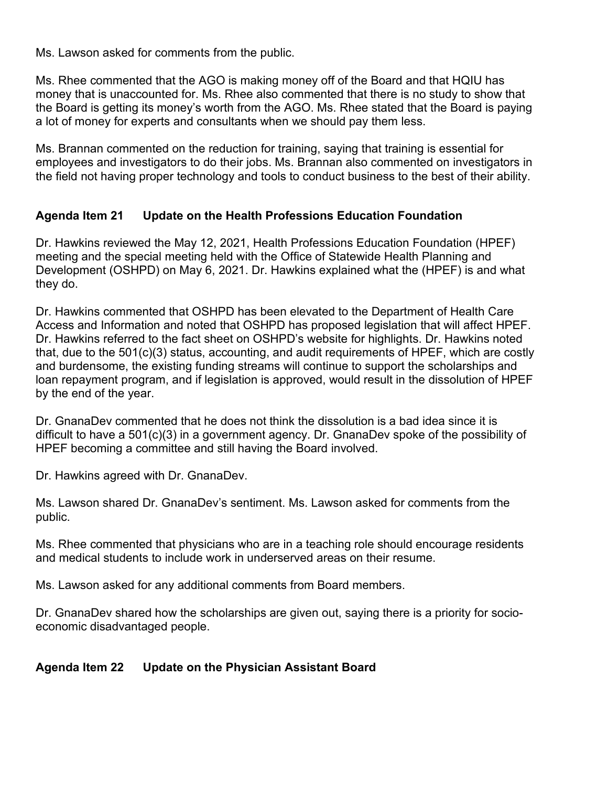Ms. Lawson asked for comments from the public.

Ms. Rhee commented that the AGO is making money off of the Board and that HQIU has money that is unaccounted for. Ms. Rhee also commented that there is no study to show that the Board is getting its money's worth from the AGO. Ms. Rhee stated that the Board is paying a lot of money for experts and consultants when we should pay them less.

Ms. Brannan commented on the reduction for training, saying that training is essential for employees and investigators to do their jobs. Ms. Brannan also commented on investigators in the field not having proper technology and tools to conduct business to the best of their ability.

# **Agenda Item 21 Update on the Health Professions Education Foundation**

Dr. Hawkins reviewed the May 12, 2021, Health Professions Education Foundation (HPEF) meeting and the special meeting held with the Office of Statewide Health Planning and Development (OSHPD) on May 6, 2021. Dr. Hawkins explained what the (HPEF) is and what they do.

Dr. Hawkins commented that OSHPD has been elevated to the Department of Health Care Access and Information and noted that OSHPD has proposed legislation that will affect HPEF. Dr. Hawkins referred to the fact sheet on OSHPD's website for highlights. Dr. Hawkins noted that, due to the 501(c)(3) status, accounting, and audit requirements of HPEF, which are costly and burdensome, the existing funding streams will continue to support the scholarships and loan repayment program, and if legislation is approved, would result in the dissolution of HPEF by the end of the year.

Dr. GnanaDev commented that he does not think the dissolution is a bad idea since it is difficult to have a 501(c)(3) in a government agency. Dr. GnanaDev spoke of the possibility of HPEF becoming a committee and still having the Board involved.

Dr. Hawkins agreed with Dr. GnanaDev.

Ms. Lawson shared Dr. GnanaDev's sentiment. Ms. Lawson asked for comments from the public.

Ms. Rhee commented that physicians who are in a teaching role should encourage residents and medical students to include work in underserved areas on their resume.

Ms. Lawson asked for any additional comments from Board members.

Dr. GnanaDev shared how the scholarships are given out, saying there is a priority for socioeconomic disadvantaged people.

# **Agenda Item 22 Update on the Physician Assistant Board**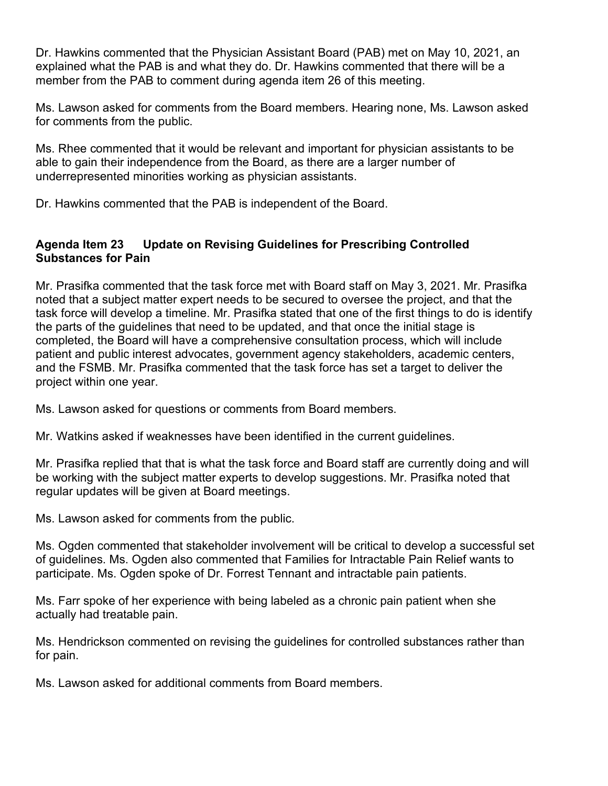Dr. Hawkins commented that the Physician Assistant Board (PAB) met on May 10, 2021, an explained what the PAB is and what they do. Dr. Hawkins commented that there will be a member from the PAB to comment during agenda item 26 of this meeting.

Ms. Lawson asked for comments from the Board members. Hearing none, Ms. Lawson asked for comments from the public.

Ms. Rhee commented that it would be relevant and important for physician assistants to be able to gain their independence from the Board, as there are a larger number of underrepresented minorities working as physician assistants.

Dr. Hawkins commented that the PAB is independent of the Board.

# **Agenda Item 23 Update on Revising Guidelines for Prescribing Controlled Substances for Pain**

Mr. Prasifka commented that the task force met with Board staff on May 3, 2021. Mr. Prasifka noted that a subject matter expert needs to be secured to oversee the project, and that the task force will develop a timeline. Mr. Prasifka stated that one of the first things to do is identify the parts of the guidelines that need to be updated, and that once the initial stage is completed, the Board will have a comprehensive consultation process, which will include patient and public interest advocates, government agency stakeholders, academic centers, and the FSMB. Mr. Prasifka commented that the task force has set a target to deliver the project within one year.

Ms. Lawson asked for questions or comments from Board members.

Mr. Watkins asked if weaknesses have been identified in the current guidelines.

Mr. Prasifka replied that that is what the task force and Board staff are currently doing and will be working with the subject matter experts to develop suggestions. Mr. Prasifka noted that regular updates will be given at Board meetings.

Ms. Lawson asked for comments from the public.

Ms. Ogden commented that stakeholder involvement will be critical to develop a successful set of guidelines. Ms. Ogden also commented that Families for Intractable Pain Relief wants to participate. Ms. Ogden spoke of Dr. Forrest Tennant and intractable pain patients.

Ms. Farr spoke of her experience with being labeled as a chronic pain patient when she actually had treatable pain.

Ms. Hendrickson commented on revising the guidelines for controlled substances rather than for pain.

Ms. Lawson asked for additional comments from Board members.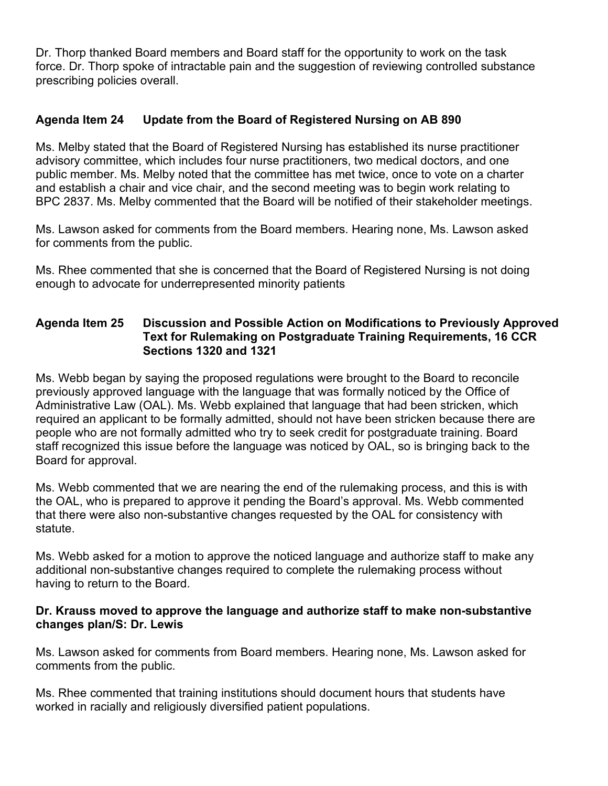Dr. Thorp thanked Board members and Board staff for the opportunity to work on the task force. Dr. Thorp spoke of intractable pain and the suggestion of reviewing controlled substance prescribing policies overall.

# **Agenda Item 24 Update from the Board of Registered Nursing on AB 890**

Ms. Melby stated that the Board of Registered Nursing has established its nurse practitioner advisory committee, which includes four nurse practitioners, two medical doctors, and one public member. Ms. Melby noted that the committee has met twice, once to vote on a charter and establish a chair and vice chair, and the second meeting was to begin work relating to BPC 2837. Ms. Melby commented that the Board will be notified of their stakeholder meetings.

Ms. Lawson asked for comments from the Board members. Hearing none, Ms. Lawson asked for comments from the public.

Ms. Rhee commented that she is concerned that the Board of Registered Nursing is not doing enough to advocate for underrepresented minority patients

### **Agenda Item 25 Discussion and Possible Action on Modifications to Previously Approved Text for Rulemaking on Postgraduate Training Requirements, 16 CCR Sections 1320 and 1321**

Ms. Webb began by saying the proposed regulations were brought to the Board to reconcile previously approved language with the language that was formally noticed by the Office of Administrative Law (OAL). Ms. Webb explained that language that had been stricken, which required an applicant to be formally admitted, should not have been stricken because there are people who are not formally admitted who try to seek credit for postgraduate training. Board staff recognized this issue before the language was noticed by OAL, so is bringing back to the Board for approval.

Ms. Webb commented that we are nearing the end of the rulemaking process, and this is with the OAL, who is prepared to approve it pending the Board's approval. Ms. Webb commented that there were also non-substantive changes requested by the OAL for consistency with statute.

Ms. Webb asked for a motion to approve the noticed language and authorize staff to make any additional non-substantive changes required to complete the rulemaking process without having to return to the Board.

#### **Dr. Krauss moved to approve the language and authorize staff to make non-substantive changes plan/S: Dr. Lewis**

Ms. Lawson asked for comments from Board members. Hearing none, Ms. Lawson asked for comments from the public.

Ms. Rhee commented that training institutions should document hours that students have worked in racially and religiously diversified patient populations.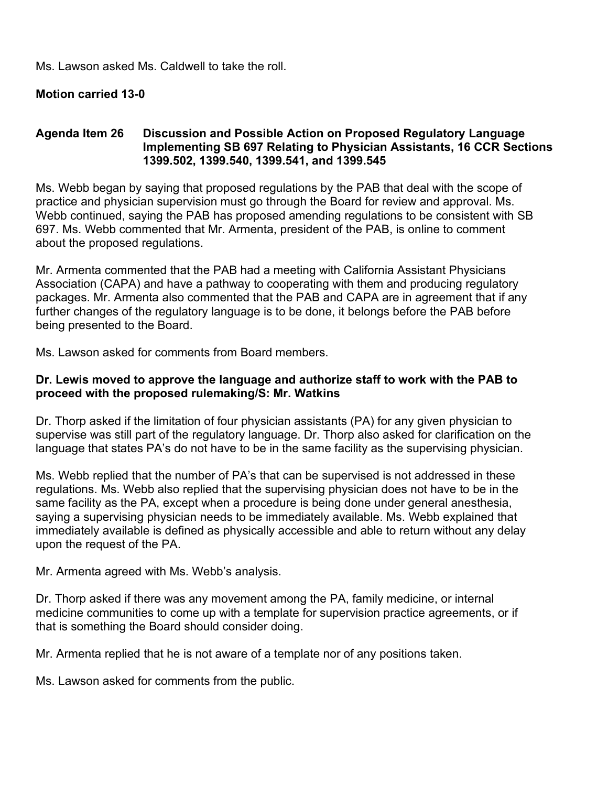Ms. Lawson asked Ms. Caldwell to take the roll.

#### **Motion carried 13-0**

#### **Agenda Item 26 Discussion and Possible Action on Proposed Regulatory Language Implementing SB 697 Relating to Physician Assistants, 16 CCR Sections 1399.502, 1399.540, 1399.541, and 1399.545**

Ms. Webb began by saying that proposed regulations by the PAB that deal with the scope of practice and physician supervision must go through the Board for review and approval. Ms. Webb continued, saying the PAB has proposed amending regulations to be consistent with SB 697. Ms. Webb commented that Mr. Armenta, president of the PAB, is online to comment about the proposed regulations.

Mr. Armenta commented that the PAB had a meeting with California Assistant Physicians Association (CAPA) and have a pathway to cooperating with them and producing regulatory packages. Mr. Armenta also commented that the PAB and CAPA are in agreement that if any further changes of the regulatory language is to be done, it belongs before the PAB before being presented to the Board.

Ms. Lawson asked for comments from Board members.

#### **Dr. Lewis moved to approve the language and authorize staff to work with the PAB to proceed with the proposed rulemaking/S: Mr. Watkins**

Dr. Thorp asked if the limitation of four physician assistants (PA) for any given physician to supervise was still part of the regulatory language. Dr. Thorp also asked for clarification on the language that states PA's do not have to be in the same facility as the supervising physician.

Ms. Webb replied that the number of PA's that can be supervised is not addressed in these regulations. Ms. Webb also replied that the supervising physician does not have to be in the same facility as the PA, except when a procedure is being done under general anesthesia, saying a supervising physician needs to be immediately available. Ms. Webb explained that immediately available is defined as physically accessible and able to return without any delay upon the request of the PA.

Mr. Armenta agreed with Ms. Webb's analysis.

Dr. Thorp asked if there was any movement among the PA, family medicine, or internal medicine communities to come up with a template for supervision practice agreements, or if that is something the Board should consider doing.

Mr. Armenta replied that he is not aware of a template nor of any positions taken.

Ms. Lawson asked for comments from the public.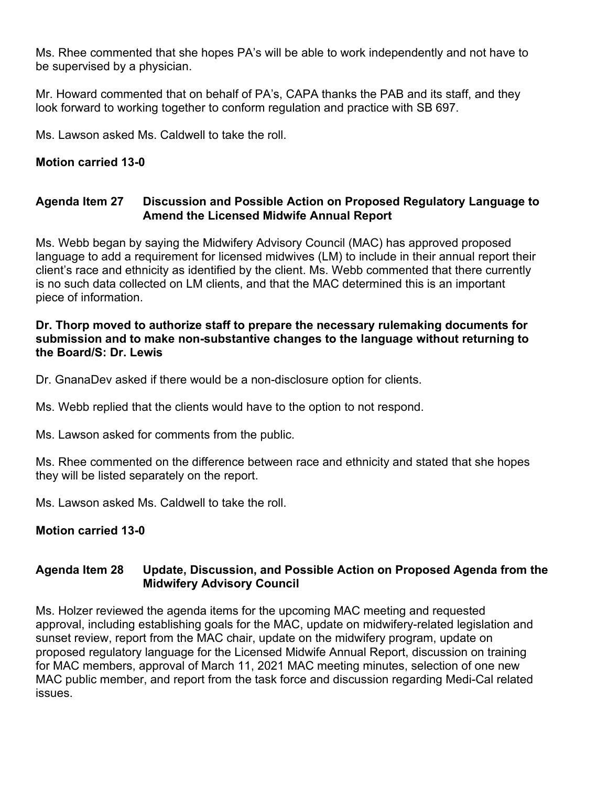Ms. Rhee commented that she hopes PA's will be able to work independently and not have to be supervised by a physician.

Mr. Howard commented that on behalf of PA's, CAPA thanks the PAB and its staff, and they look forward to working together to conform regulation and practice with SB 697.

Ms. Lawson asked Ms. Caldwell to take the roll.

# **Motion carried 13-0**

#### **Agenda Item 27 Discussion and Possible Action on Proposed Regulatory Language to Amend the Licensed Midwife Annual Report**

Ms. Webb began by saying the Midwifery Advisory Council (MAC) has approved proposed language to add a requirement for licensed midwives (LM) to include in their annual report their client's race and ethnicity as identified by the client. Ms. Webb commented that there currently is no such data collected on LM clients, and that the MAC determined this is an important piece of information.

#### **Dr. Thorp moved to authorize staff to prepare the necessary rulemaking documents for submission and to make non-substantive changes to the language without returning to the Board/S: Dr. Lewis**

Dr. GnanaDev asked if there would be a non-disclosure option for clients.

Ms. Webb replied that the clients would have to the option to not respond.

Ms. Lawson asked for comments from the public.

Ms. Rhee commented on the difference between race and ethnicity and stated that she hopes they will be listed separately on the report.

Ms. Lawson asked Ms. Caldwell to take the roll

# **Motion carried 13-0**

# **Agenda Item 28 Update, Discussion, and Possible Action on Proposed Agenda from the Midwifery Advisory Council**

Ms. Holzer reviewed the agenda items for the upcoming MAC meeting and requested approval, including establishing goals for the MAC, update on midwifery-related legislation and sunset review, report from the MAC chair, update on the midwifery program, update on proposed regulatory language for the Licensed Midwife Annual Report, discussion on training for MAC members, approval of March 11, 2021 MAC meeting minutes, selection of one new MAC public member, and report from the task force and discussion regarding Medi-Cal related issues.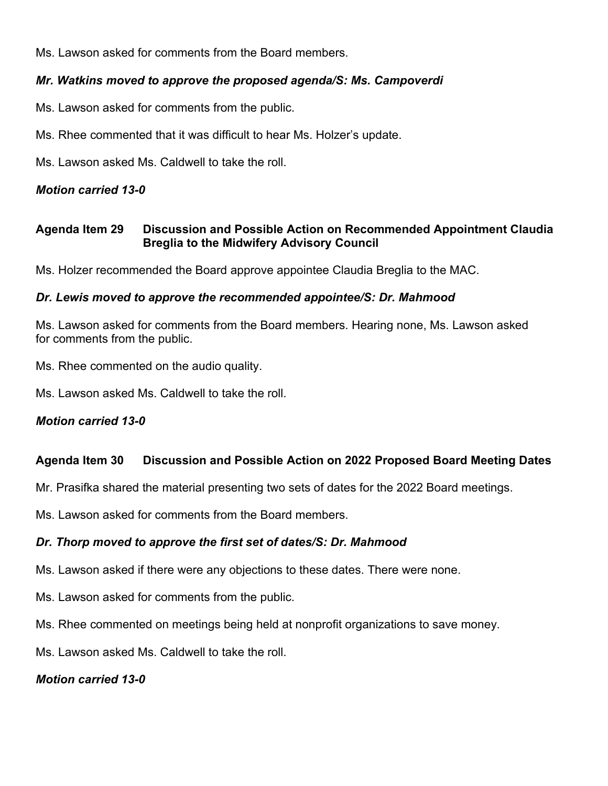Ms. Lawson asked for comments from the Board members.

### *Mr. Watkins moved to approve the proposed agenda/S: Ms. Campoverdi*

- Ms. Lawson asked for comments from the public.
- Ms. Rhee commented that it was difficult to hear Ms. Holzer's update.
- Ms. Lawson asked Ms. Caldwell to take the roll.

### *Motion carried 13-0*

### **Agenda Item 29 Discussion and Possible Action on Recommended Appointment Claudia Breglia to the Midwifery Advisory Council**

Ms. Holzer recommended the Board approve appointee Claudia Breglia to the MAC.

### *Dr. Lewis moved to approve the recommended appointee/S: Dr. Mahmood*

Ms. Lawson asked for comments from the Board members. Hearing none, Ms. Lawson asked for comments from the public.

Ms. Rhee commented on the audio quality.

Ms. Lawson asked Ms. Caldwell to take the roll.

#### *Motion carried 13-0*

# **Agenda Item 30 Discussion and Possible Action on 2022 Proposed Board Meeting Dates**

Mr. Prasifka shared the material presenting two sets of dates for the 2022 Board meetings.

Ms. Lawson asked for comments from the Board members.

#### *Dr. Thorp moved to approve the first set of dates/S: Dr. Mahmood*

Ms. Lawson asked if there were any objections to these dates. There were none.

Ms. Lawson asked for comments from the public.

Ms. Rhee commented on meetings being held at nonprofit organizations to save money.

Ms. Lawson asked Ms. Caldwell to take the roll.

#### *Motion carried 13-0*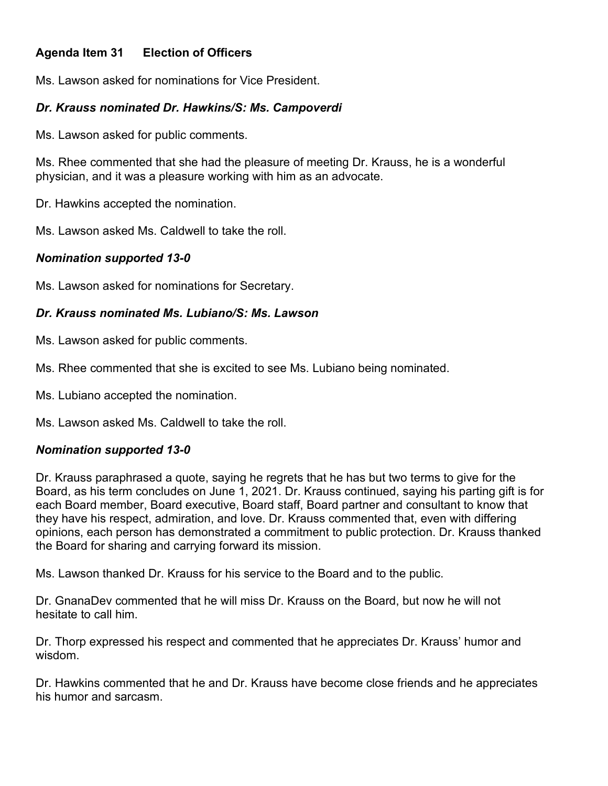# **Agenda Item 31 Election of Officers**

Ms. Lawson asked for nominations for Vice President.

### *Dr. Krauss nominated Dr. Hawkins/S: Ms. Campoverdi*

Ms. Lawson asked for public comments.

Ms. Rhee commented that she had the pleasure of meeting Dr. Krauss, he is a wonderful physician, and it was a pleasure working with him as an advocate.

Dr. Hawkins accepted the nomination.

Ms. Lawson asked Ms. Caldwell to take the roll.

### *Nomination supported 13-0*

Ms. Lawson asked for nominations for Secretary.

# *Dr. Krauss nominated Ms. Lubiano/S: Ms. Lawson*

Ms. Lawson asked for public comments.

Ms. Rhee commented that she is excited to see Ms. Lubiano being nominated.

Ms. Lubiano accepted the nomination.

Ms. Lawson asked Ms. Caldwell to take the roll.

# *Nomination supported 13-0*

Dr. Krauss paraphrased a quote, saying he regrets that he has but two terms to give for the Board, as his term concludes on June 1, 2021. Dr. Krauss continued, saying his parting gift is for each Board member, Board executive, Board staff, Board partner and consultant to know that they have his respect, admiration, and love. Dr. Krauss commented that, even with differing opinions, each person has demonstrated a commitment to public protection. Dr. Krauss thanked the Board for sharing and carrying forward its mission.

Ms. Lawson thanked Dr. Krauss for his service to the Board and to the public.

Dr. GnanaDev commented that he will miss Dr. Krauss on the Board, but now he will not hesitate to call him.

Dr. Thorp expressed his respect and commented that he appreciates Dr. Krauss' humor and wisdom.

Dr. Hawkins commented that he and Dr. Krauss have become close friends and he appreciates his humor and sarcasm.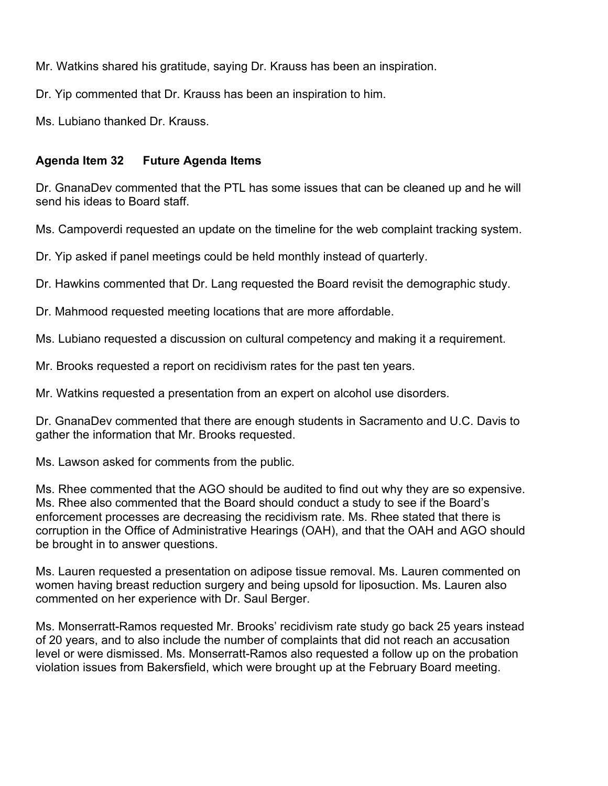Mr. Watkins shared his gratitude, saying Dr. Krauss has been an inspiration.

Dr. Yip commented that Dr. Krauss has been an inspiration to him.

Ms. Lubiano thanked Dr. Krauss.

# **Agenda Item 32 Future Agenda Items**

Dr. GnanaDev commented that the PTL has some issues that can be cleaned up and he will send his ideas to Board staff.

Ms. Campoverdi requested an update on the timeline for the web complaint tracking system.

Dr. Yip asked if panel meetings could be held monthly instead of quarterly.

Dr. Hawkins commented that Dr. Lang requested the Board revisit the demographic study.

Dr. Mahmood requested meeting locations that are more affordable.

Ms. Lubiano requested a discussion on cultural competency and making it a requirement.

Mr. Brooks requested a report on recidivism rates for the past ten years.

Mr. Watkins requested a presentation from an expert on alcohol use disorders.

Dr. GnanaDev commented that there are enough students in Sacramento and U.C. Davis to gather the information that Mr. Brooks requested.

Ms. Lawson asked for comments from the public.

Ms. Rhee commented that the AGO should be audited to find out why they are so expensive. Ms. Rhee also commented that the Board should conduct a study to see if the Board's enforcement processes are decreasing the recidivism rate. Ms. Rhee stated that there is corruption in the Office of Administrative Hearings (OAH), and that the OAH and AGO should be brought in to answer questions.

Ms. Lauren requested a presentation on adipose tissue removal. Ms. Lauren commented on women having breast reduction surgery and being upsold for liposuction. Ms. Lauren also commented on her experience with Dr. Saul Berger.

Ms. Monserratt-Ramos requested Mr. Brooks' recidivism rate study go back 25 years instead of 20 years, and to also include the number of complaints that did not reach an accusation level or were dismissed. Ms. Monserratt-Ramos also requested a follow up on the probation violation issues from Bakersfield, which were brought up at the February Board meeting.